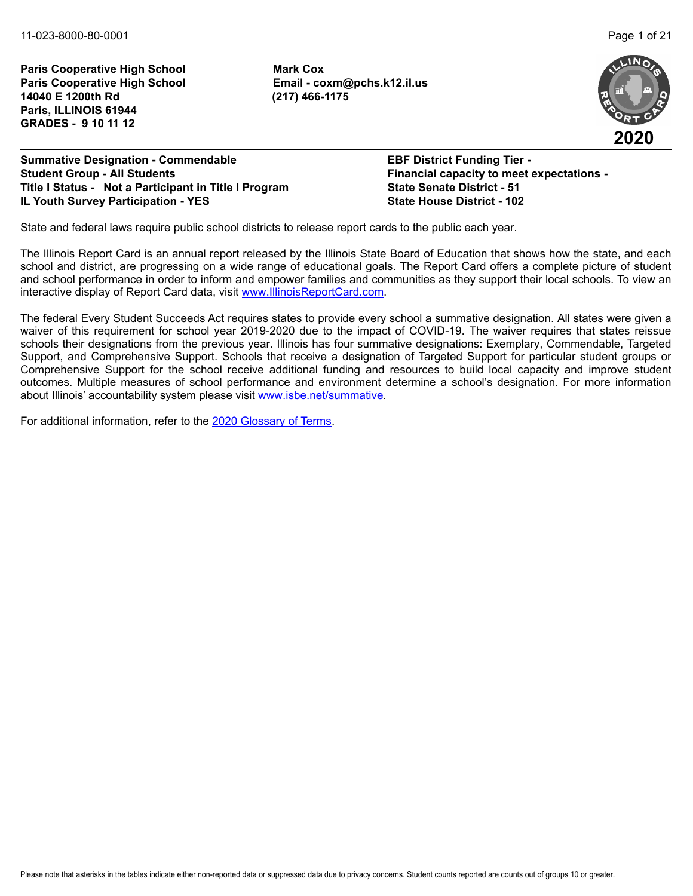**Paris Cooperative High School Mark Cox Paris Cooperative High School Email - coxm@pchs.k12.il.us 14040 E 1200th Rd (217) 466-1175 Paris, ILLINOIS 61944 GRADES - 9 10 11 12**



| <b>Summative Designation - Commendable</b>            | <b>EBF District Funding Tier -</b>        |
|-------------------------------------------------------|-------------------------------------------|
| <b>Student Group - All Students</b>                   | Financial capacity to meet expectations - |
| Title I Status - Not a Participant in Title I Program | <b>State Senate District - 51</b>         |
| IL Youth Survey Participation - YES                   | <b>State House District - 102</b>         |

State and federal laws require public school districts to release report cards to the public each year.

The Illinois Report Card is an annual report released by the Illinois State Board of Education that shows how the state, and each school and district, are progressing on a wide range of educational goals. The Report Card offers a complete picture of student and school performance in order to inform and empower families and communities as they support their local schools. To view an interactive display of Report Card data, visit [www.IllinoisReportCard.com](https://www.illinoisreportcard.com/).

The federal Every Student Succeeds Act requires states to provide every school a summative designation. All states were given a waiver of this requirement for school year 2019-2020 due to the impact of COVID-19. The waiver requires that states reissue schools their designations from the previous year. Illinois has four summative designations: Exemplary, Commendable, Targeted Support, and Comprehensive Support. Schools that receive a designation of Targeted Support for particular student groups or Comprehensive Support for the school receive additional funding and resources to build local capacity and improve student outcomes. Multiple measures of school performance and environment determine a school's designation. For more information [about Illinois' accountabil](https://www.isbe.net/summative)ity system please visit [www.isbe.net/summative.](http://www.isbe.net/summative)

For additional information, refer to th[e 2020 Glossary of Terms.](https://www.isbe.net/Documents/2020-Glossary-of-Terms.pdf)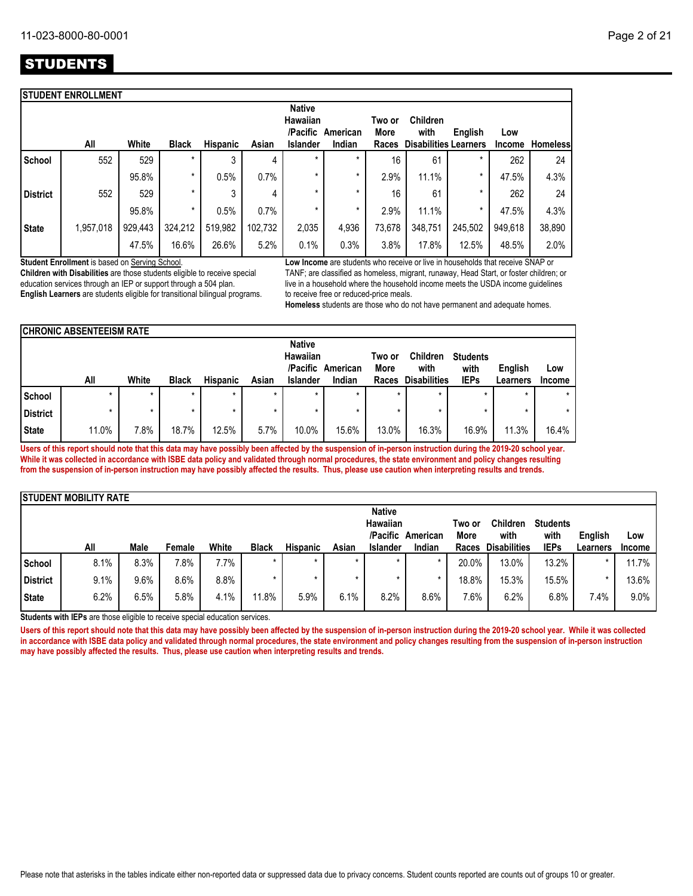|                 | <b>STUDENT ENROLLMENT</b> |         |              |                 |         |                                                   |                    |                         |                                                         |         |                      |                 |
|-----------------|---------------------------|---------|--------------|-----------------|---------|---------------------------------------------------|--------------------|-------------------------|---------------------------------------------------------|---------|----------------------|-----------------|
|                 | All                       | White   | <b>Black</b> | <b>Hispanic</b> | Asian   | <b>Native</b><br>Hawaiian<br>/Pacific<br>Islander | American<br>Indian | Two or<br>More<br>Races | <b>Children</b><br>with<br><b>Disabilities Learners</b> | English | Low<br><b>Income</b> | <b>Homeless</b> |
| School          | 552                       | 529     | $\star$      | 3               | 4       | $\star$                                           | $\star$            | 16                      | 61                                                      | *       | 262                  | 24              |
|                 |                           | 95.8%   | $\ast$       | 0.5%            | 0.7%    | *                                                 | *                  | 2.9%                    | 11.1%                                                   | *       | 47.5%                | 4.3%            |
| <b>District</b> | 552                       | 529     | $\star$      | 3               | 4       | $\star$                                           | $\star$            | 16                      | 61                                                      | *       | 262                  | 24              |
|                 |                           | 95.8%   | $\ast$       | 0.5%            | 0.7%    | *                                                 | *                  | 2.9%                    | 11.1%                                                   | *       | 47.5%                | 4.3%            |
| <b>State</b>    | 1,957,018                 | 929,443 | 324,212      | 519,982         | 102,732 | 2,035                                             | 4,936              | 73,678                  | 348,751                                                 | 245,502 | 949,618              | 38,890          |
|                 |                           | 47.5%   | 16.6%        | 26.6%           | 5.2%    | 0.1%                                              | 0.3%               | 3.8%                    | 17.8%                                                   | 12.5%   | 48.5%                | 2.0%            |
|                 |                           |         |              |                 |         |                                                   |                    |                         |                                                         |         |                      |                 |

**Student Enrollment** is based on Serving School.

**Children with Disabilities** are those students eligible to receive special education services through an IEP or support through a 504 plan. **English Learners** are students eligible for transitional bilingual programs. **Low Income** are students who receive or live in households that receive SNAP or TANF; are classified as homeless, migrant, runaway, Head Start, or foster children; or live in a household where the household income meets the USDA income guidelines to receive free or reduced-price meals.

**Homeless** students are those who do not have permanent and adequate homes.

|                 | <b>CHRONIC ABSENTEEISM RATE</b> |         |              |                 |         |                                       |          |                |                     |                         |          |               |
|-----------------|---------------------------------|---------|--------------|-----------------|---------|---------------------------------------|----------|----------------|---------------------|-------------------------|----------|---------------|
|                 |                                 |         |              |                 |         | <b>Native</b><br>Hawaiian<br>/Pacific | American | Two or<br>More | Children<br>with    | <b>Students</b><br>with | English  | Low           |
|                 | All                             | White   | <b>Black</b> | <b>Hispanic</b> | Asian   | <b>Islander</b>                       | Indian   | Races          | <b>Disabilities</b> | <b>IEPs</b>             | Learners | <b>Income</b> |
| <b>School</b>   | $\star$                         | $\star$ | $\star$      | $\star$         | $\star$ |                                       | $\star$  | *              | $\star$             | $\star$                 | *        |               |
| <b>District</b> | $\star$                         | $\star$ | $\star$      |                 |         |                                       | $\star$  |                | $\star$             |                         |          |               |
| <b>State</b>    | 11.0%                           | 7.8%    | 18.7%        | 12.5%           | 5.7%    | 10.0%                                 | 15.6%    | 13.0%          | 16.3%               | 16.9%                   | 11.3%    | 16.4%         |

**Users of this report should note that this data may have possibly been affected by the suspension of in-person instruction during the 2019-20 school year. While it was collected in accordance with ISBE data policy and validated through normal procedures, the state environment and policy changes resulting from the suspension of in-person instruction may have possibly affected the results. Thus, please use caution when interpreting results and trends.**

|                 | <b>ISTUDENT MOBILITY RATE</b> |      |        |       |              |                 |       |                 |          |        |                     |                 |          |         |
|-----------------|-------------------------------|------|--------|-------|--------------|-----------------|-------|-----------------|----------|--------|---------------------|-----------------|----------|---------|
|                 |                               |      |        |       |              |                 |       | <b>Native</b>   |          |        |                     |                 |          |         |
|                 |                               |      |        |       |              |                 |       | Hawaiian        |          | Two or | <b>Children</b>     | <b>Students</b> |          |         |
|                 |                               |      |        |       |              |                 |       | /Pacific        | American | More   | with                | with            | English  | Low     |
|                 | All                           | Male | Female | White | <b>Black</b> | <b>Hispanic</b> | Asian | <b>Islander</b> | Indian   | Races  | <b>Disabilities</b> | <b>IEPs</b>     | Learners | Income  |
| School          | 8.1%                          | 8.3% | 7.8%   | 7.7%  |              | $\star$         |       | $\star$         |          | 20.0%  | 13.0%               | 13.2%           |          | 11.7%   |
| <b>District</b> | 9.1%                          | 9.6% | 8.6%   | 8.8%  |              |                 |       |                 |          | 18.8%  | 15.3%               | 15.5%           |          | 13.6%   |
| <b>State</b>    | 6.2%                          | 6.5% | 5.8%   | 4.1%  | 11.8%        | 5.9%            | 6.1%  | 8.2%            | 8.6%     | 7.6%   | 6.2%                | 6.8%            | 7.4%     | $9.0\%$ |

**Students with IEPs** are those eligible to receive special education services.

Users of this report should note that this data may have possibly been affected by the suspension of in-person instruction during the 2019-20 school year. While it was collected **in accordance with ISBE data policy and validated through normal procedures, the state environment and policy changes resulting from the suspension of in-person instruction may have possibly affected the results. Thus, please use caution when interpreting results and trends.**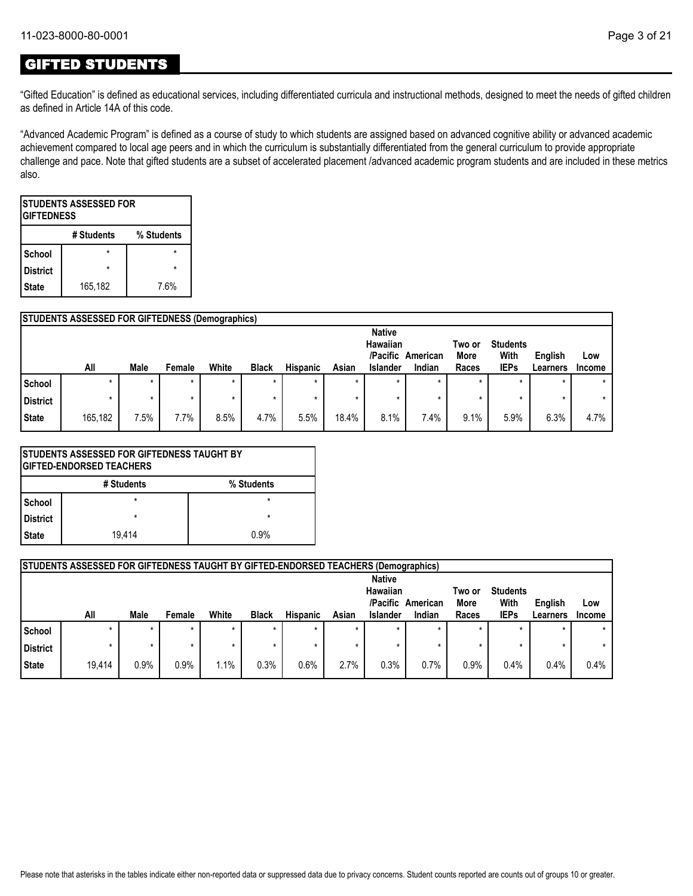# GIFTED STUDENTS

"Gifted Education" is defined as educational services, including differentiated curricula and instructional methods, designed to meet the needs of gifted children as defined in Article 14A of this code.

"Advanced Academic Program" is defined as a course of study to which students are assigned based on advanced cognitive ability or advanced academic achievement compared to local age peers and in which the curriculum is substantially differentiated from the general curriculum to provide appropriate challenge and pace. Note that gifted students are a subset of accelerated placement /advanced academic program students and are included in these metrics also.

| <b>ISTUDENTS ASSESSED FOR</b><br><b>GIFTEDNESS</b> |   |  |  |  |  |  |  |  |  |  |  |  |
|----------------------------------------------------|---|--|--|--|--|--|--|--|--|--|--|--|
| % Students<br># Students                           |   |  |  |  |  |  |  |  |  |  |  |  |
| School                                             |   |  |  |  |  |  |  |  |  |  |  |  |
| <b>District</b>                                    | ÷ |  |  |  |  |  |  |  |  |  |  |  |
| 165,182<br>7.6%<br><b>State</b>                    |   |  |  |  |  |  |  |  |  |  |  |  |

|          | <b>STUDENTS ASSESSED FOR GIFTEDNESS (Demographics)</b> |         |        |       |              |                 |         |                           |          |                |                 |          |         |
|----------|--------------------------------------------------------|---------|--------|-------|--------------|-----------------|---------|---------------------------|----------|----------------|-----------------|----------|---------|
|          |                                                        |         |        |       |              |                 |         | <b>Native</b><br>Hawaiian |          |                | <b>Students</b> |          |         |
|          |                                                        |         |        |       |              |                 |         | /Pacific                  | American | Two or<br>More | With            | English  | Low     |
|          | All                                                    | Male    | Female | White | <b>Black</b> | <b>Hispanic</b> | Asian   | <b>Islander</b>           | Indian   | Races          | <b>IEPs</b>     | Learners | Income  |
| School   |                                                        | $\star$ |        |       | $\star$      | $\star$         | $\star$ |                           |          | $\star$        |                 |          | $\star$ |
| District |                                                        | $\star$ |        |       | ÷            | ÷               | $\star$ |                           |          | ×              |                 |          | $\star$ |
| State    | 165,182                                                | 7.5%    | 7.7%   | 8.5%  | 4.7%         | 5.5%            | 18.4%   | 8.1%                      | 7.4%     | 9.1%           | 5.9%            | 6.3%     | 4.7%    |

|                          | <b>ISTUDENTS ASSESSED FOR GIFTEDNESS TAUGHT BY</b><br><b>IGIFTED-ENDORSED TEACHERS</b> |         |  |  |  |  |  |  |  |  |  |
|--------------------------|----------------------------------------------------------------------------------------|---------|--|--|--|--|--|--|--|--|--|
| # Students<br>% Students |                                                                                        |         |  |  |  |  |  |  |  |  |  |
| l School                 | $\star$                                                                                | $\star$ |  |  |  |  |  |  |  |  |  |
| District                 | $\star$                                                                                | $\star$ |  |  |  |  |  |  |  |  |  |
| <b>State</b>             | 19.414                                                                                 | 0.9%    |  |  |  |  |  |  |  |  |  |

|                 | <b>STUDENTS ASSESSED FOR GIFTEDNESS TAUGHT BY GIFTED-ENDORSED TEACHERS (Demographics)</b> |         |        |       |              |                 |         |                                                   |                    |                         |                                        |                     |               |
|-----------------|-------------------------------------------------------------------------------------------|---------|--------|-------|--------------|-----------------|---------|---------------------------------------------------|--------------------|-------------------------|----------------------------------------|---------------------|---------------|
|                 | All                                                                                       | Male    | Female | White | <b>Black</b> | <b>Hispanic</b> | Asian   | <b>Native</b><br>Hawaiian<br>/Pacific<br>Islander | American<br>Indian | Two or<br>More<br>Races | <b>Students</b><br>With<br><b>IEPs</b> | English<br>Learners | Low<br>Income |
| School          |                                                                                           | $\star$ |        |       | $\star$      |                 |         |                                                   |                    | $\star$                 | $\star$                                |                     |               |
| <b>District</b> |                                                                                           | $\star$ |        |       | $\star$      |                 | $\star$ |                                                   |                    |                         | $\star$                                |                     |               |
| <b>State</b>    | 19.414                                                                                    | 0.9%    | 0.9%   | 1.1%  | 0.3%         | 0.6%            | 2.7%    | 0.3%                                              | 0.7%               | 0.9%                    | 0.4%                                   | 0.4%                | 0.4%          |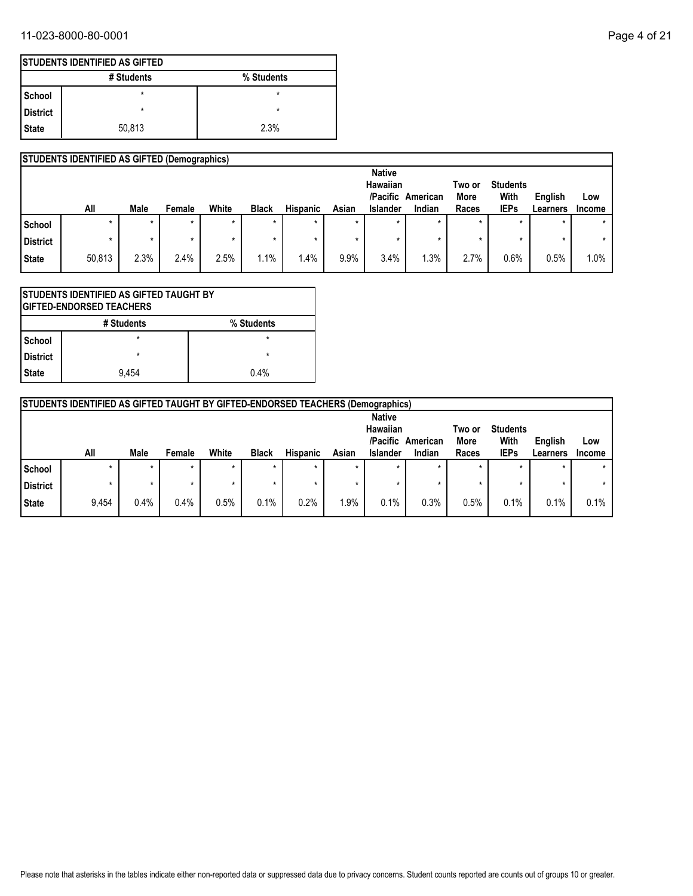## 11-023-8000-80-0001 Page 4 of 21

| <b>ISTUDENTS IDENTIFIED AS GIFTED</b> |            |            |  |  |  |  |  |  |  |  |  |
|---------------------------------------|------------|------------|--|--|--|--|--|--|--|--|--|
|                                       | # Students | % Students |  |  |  |  |  |  |  |  |  |
| l School                              | $\star$    | $\star$    |  |  |  |  |  |  |  |  |  |
| l District                            | $\star$    | $\star$    |  |  |  |  |  |  |  |  |  |
| <b>State</b>                          | 50,813     | 2.3%       |  |  |  |  |  |  |  |  |  |

## **STUDENTS IDENTIFIED AS GIFTED (Demographics)**

|                 |        |         |         |         |              |                 |         | <b>Native</b><br>Hawaiian |          | Two or      | <b>Students</b> |          |               |
|-----------------|--------|---------|---------|---------|--------------|-----------------|---------|---------------------------|----------|-------------|-----------------|----------|---------------|
|                 |        |         |         |         |              |                 |         | /Pacific                  | American | <b>More</b> | With            | English  | Low           |
|                 | All    | Male    | Female  | White   | <b>Black</b> | <b>Hispanic</b> | Asian   | Islander                  | Indian   | Races       | <b>IEPs</b>     | Learners | <b>Income</b> |
| School          | ÷      | $\star$ | $\star$ | $\star$ | $\star$      |                 |         | $\star$                   | $\star$  | $\star$     | $\star$         |          | $\star$       |
| <b>District</b> |        | $\ast$  |         |         | *            |                 |         |                           |          | $\star$     |                 |          | $\star$       |
| State           | 50,813 | 2.3%    | 2.4%    | 2.5%    | 1.1%         | $.4\%$          | $9.9\%$ | 3.4%                      | .3%      | 2.7%        | 0.6%            | 0.5%     | 1.0%          |

| ISTUDENTS IDENTIFIED AS GIFTED TAUGHT BY<br><b>GIFTED-ENDORSED TEACHERS</b> |                          |         |  |  |  |  |  |  |  |  |  |
|-----------------------------------------------------------------------------|--------------------------|---------|--|--|--|--|--|--|--|--|--|
|                                                                             | # Students<br>% Students |         |  |  |  |  |  |  |  |  |  |
| School                                                                      | $\star$                  | $\star$ |  |  |  |  |  |  |  |  |  |
| <b>District</b>                                                             | $\star$                  | $\star$ |  |  |  |  |  |  |  |  |  |
| <b>State</b>                                                                | 9.454                    | 0.4%    |  |  |  |  |  |  |  |  |  |

|          | STUDENTS IDENTIFIED AS GIFTED TAUGHT BY GIFTED-ENDORSED TEACHERS (Demographics)                |             |        |       |              |                 |         |                 |        |       |             |          |               |
|----------|------------------------------------------------------------------------------------------------|-------------|--------|-------|--------------|-----------------|---------|-----------------|--------|-------|-------------|----------|---------------|
|          | <b>Native</b><br>Hawaiian<br><b>Students</b><br>Two or<br>/Pacific<br>With<br>More<br>American |             |        |       |              |                 |         |                 |        |       | English     | Low      |               |
|          | All                                                                                            | <b>Male</b> | Female | White | <b>Black</b> | <b>Hispanic</b> | Asian   | <b>Islander</b> | Indian | Races | <b>IEPs</b> | Learners | <b>Income</b> |
| School   |                                                                                                | $\star$     |        | *     | $\star$      | $\star$         | $\star$ |                 |        |       |             |          |               |
| District |                                                                                                | $\star$     |        |       |              |                 | $\star$ | $\star$         |        |       |             |          |               |
| State    | 9,454                                                                                          | 0.4%        | 0.4%   | 0.5%  | 0.1%         | 0.2%            | $.9\%$  | 0.1%            | 0.3%   | 0.5%  | 0.1%        | 0.1%     | 0.1%          |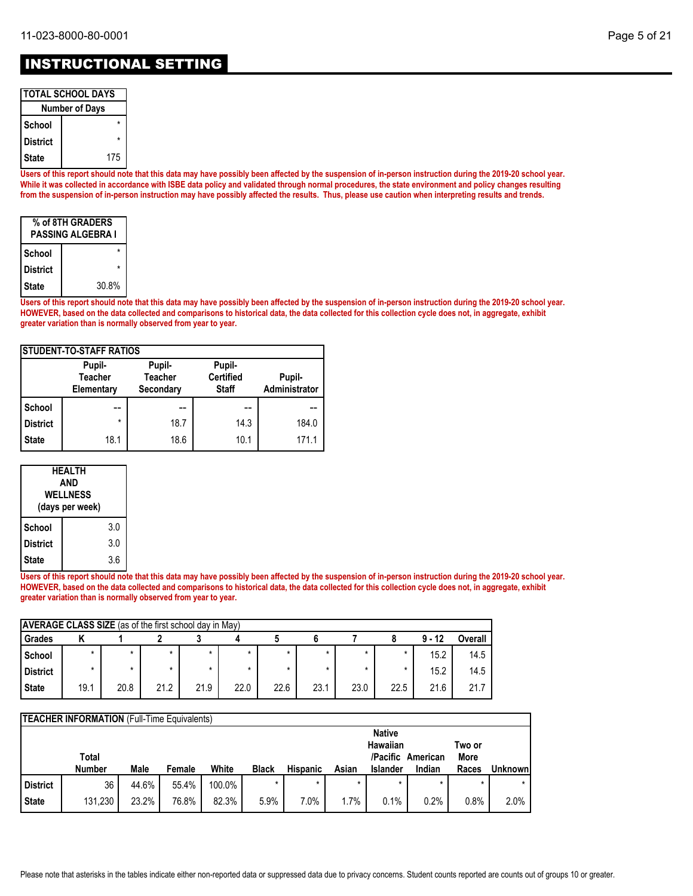| <b>TOTAL SCHOOL DAYS</b> |
|--------------------------|
|--------------------------|

| <b>Number of Days</b> |     |  |  |  |  |
|-----------------------|-----|--|--|--|--|
| School                |     |  |  |  |  |
| <b>District</b>       |     |  |  |  |  |
| <b>State</b>          | 175 |  |  |  |  |

**Users of this report should note that this data may have possibly been affected by the suspension of in-person instruction during the 2019-20 school year. While it was collected in accordance with ISBE data policy and validated through normal procedures, the state environment and policy changes resulting from the suspension of in-person instruction may have possibly affected the results. Thus, please use caution when interpreting results and trends.**

| % of 8TH GRADERS<br><b>PASSING ALGEBRA I</b> |       |  |  |  |
|----------------------------------------------|-------|--|--|--|
| School                                       |       |  |  |  |
| <b>District</b>                              |       |  |  |  |
| <b>State</b>                                 | 30.8% |  |  |  |

**Users of this report should note that this data may have possibly been affected by the suspension of in-person instruction during the 2019-20 school year. HOWEVER, based on the data collected and comparisons to historical data, the data collected for this collection cycle does not, in aggregate, exhibit greater variation than is normally observed from year to year.**

| <b>STUDENT-TO-STAFF RATIOS</b> |                                        |                                       |                                            |                         |  |  |  |  |
|--------------------------------|----------------------------------------|---------------------------------------|--------------------------------------------|-------------------------|--|--|--|--|
|                                | Pupil-<br><b>Teacher</b><br>Elementary | Pupil-<br><b>Teacher</b><br>Secondary | Pupil-<br><b>Certified</b><br><b>Staff</b> | Pupil-<br>Administrator |  |  |  |  |
| School                         | --                                     | --                                    | --                                         |                         |  |  |  |  |
| <b>District</b>                | *                                      | 18.7                                  | 14.3                                       | 184.0                   |  |  |  |  |
| <b>State</b>                   | 18.1                                   | 18.6                                  | 10.1                                       | 171.1                   |  |  |  |  |

| HEALTH<br>AND<br><b>WELLNESS</b><br>(days per week) |     |  |  |  |
|-----------------------------------------------------|-----|--|--|--|
| School                                              | 3.0 |  |  |  |
| <b>District</b>                                     | 3.0 |  |  |  |
| <b>State</b>                                        | 3.6 |  |  |  |

**Users of this report should note that this data may have possibly been affected by the suspension of in-person instruction during the 2019-20 school year. HOWEVER, based on the data collected and comparisons to historical data, the data collected for this collection cycle does not, in aggregate, exhibit greater variation than is normally observed from year to year.**

| <b>AVERAGE CLASS SIZE</b> (as of the first school day in May) |         |      |      |      |      |      |         |      |      |          |         |
|---------------------------------------------------------------|---------|------|------|------|------|------|---------|------|------|----------|---------|
| Grades                                                        |         |      |      |      |      |      |         |      |      | $9 - 12$ | Overall |
| School                                                        | $\star$ |      |      |      |      |      | $\star$ |      |      | 15.2     | 14.5    |
| <b>District</b>                                               |         |      |      |      |      |      |         |      |      | 15.2     | 14.5    |
| <b>State</b>                                                  | 19.1    | 20.8 | 21.2 | 21.9 | 22.0 | 22.6 | 23.1    | 23.0 | 22.5 | 21.6     | 21.7    |

|          | <b>TEACHER INFORMATION</b> (Full-Time Equivalents) |       |        |        |              |                 |         |                 |                   |        |          |
|----------|----------------------------------------------------|-------|--------|--------|--------------|-----------------|---------|-----------------|-------------------|--------|----------|
|          |                                                    |       |        |        |              |                 |         | <b>Native</b>   |                   |        |          |
|          |                                                    |       |        |        |              |                 |         | Hawaiian        |                   | Two or |          |
|          | Total                                              |       |        |        |              |                 |         |                 | /Pacific American | More   |          |
|          | <b>Number</b>                                      | Male  | Female | White  | <b>Black</b> | <b>Hispanic</b> | Asian   | <b>Islander</b> | Indian            |        | Unknownl |
|          |                                                    |       |        |        |              |                 |         |                 |                   | Races  |          |
| District | 36                                                 | 44.6% | 55.4%  | 100.0% | $\star$      | $\star$         | $\star$ |                 |                   |        |          |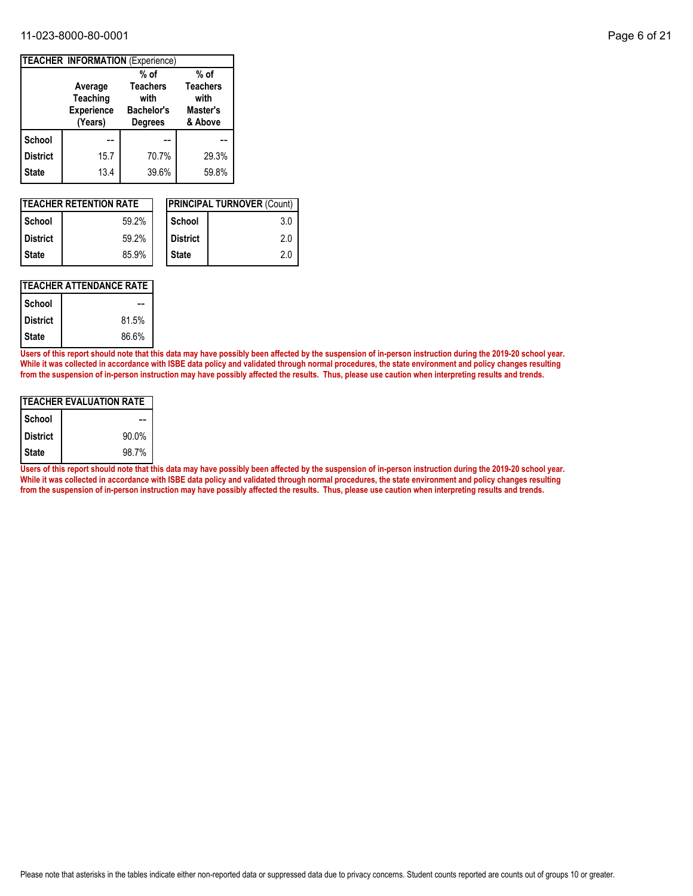#### 11-023-8000-80-0001 Page 6 of 21

|                 | <b>TEACHER INFORMATION (Experience)</b>                    |                                                                |                                                |
|-----------------|------------------------------------------------------------|----------------------------------------------------------------|------------------------------------------------|
|                 |                                                            | $%$ of                                                         | $%$ of                                         |
|                 | Average<br><b>Teaching</b><br><b>Experience</b><br>(Years) | <b>Teachers</b><br>with<br><b>Bachelor's</b><br><b>Degrees</b> | <b>Teachers</b><br>with<br>Master's<br>& Above |
| <b>School</b>   |                                                            |                                                                |                                                |
| <b>District</b> | 15.7                                                       | 70.7%                                                          | 29.3%                                          |
| <b>State</b>    | 13.4                                                       | 39.6%                                                          | 59.8%                                          |

| <b>ITEACHER RETENTION RATE</b> |       |  |                 | <b>IPRINCIPAL TURNOVER (Count)</b> |
|--------------------------------|-------|--|-----------------|------------------------------------|
| l School                       | 59.2% |  | School          | 3.0                                |
| <b>District</b>                | 59.2% |  | <b>District</b> | 2.0                                |
| l State                        | 85.9% |  | <b>State</b>    | 2.0                                |

## **TEACHER ATTENDANCE RATE**

| School          |       |
|-----------------|-------|
| <b>District</b> | 81.5% |
| <b>State</b>    | 86.6% |

**Users of this report should note that this data may have possibly been affected by the suspension of in-person instruction during the 2019-20 school year. While it was collected in accordance with ISBE data policy and validated through normal procedures, the state environment and policy changes resulting from the suspension of in-person instruction may have possibly affected the results. Thus, please use caution when interpreting results and trends.**

| <b>TEACHER EVALUATION RATE</b> |       |  |  |  |
|--------------------------------|-------|--|--|--|
| School                         |       |  |  |  |
| <b>District</b>                | 90.0% |  |  |  |
| <b>State</b>                   | 98.7% |  |  |  |

**Users of this report should note that this data may have possibly been affected by the suspension of in-person instruction during the 2019-20 school year. While it was collected in accordance with ISBE data policy and validated through normal procedures, the state environment and policy changes resulting from the suspension of in-person instruction may have possibly affected the results. Thus, please use caution when interpreting results and trends.**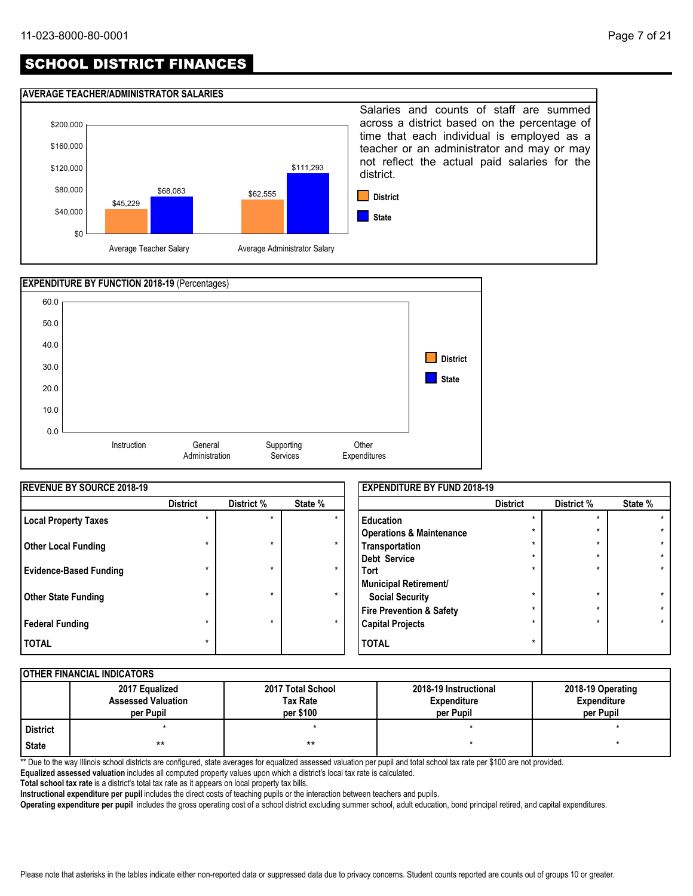# SCHOOL DISTRICT FINANCES

#### **AVERAGE TEACHER/ADMINISTRATOR SALARIES**





| <b>REVENUE BY SOURCE 2018-19</b> |                 |            |         | <b>EXPENDITURE BY FUND 2018-19</b>  |                 |            |         |
|----------------------------------|-----------------|------------|---------|-------------------------------------|-----------------|------------|---------|
|                                  | <b>District</b> | District % | State % |                                     | <b>District</b> | District % | State % |
| <b>Local Property Taxes</b>      |                 |            |         | l Education                         |                 |            | $\star$ |
|                                  |                 |            |         | <b>Operations &amp; Maintenance</b> |                 |            |         |
| <b>Other Local Funding</b>       |                 |            | $\star$ | Transportation                      |                 |            | $\star$ |
|                                  |                 |            |         | Debt Service                        |                 |            |         |
| <b>Evidence-Based Funding</b>    |                 |            | $\ast$  | <b>Tort</b>                         |                 |            | $\star$ |
|                                  |                 |            |         | Municipal Retirement/               |                 |            |         |
| Other State Funding              |                 |            | $\star$ | <b>Social Security</b>              |                 |            |         |
|                                  |                 |            |         | <b>Fire Prevention &amp; Safety</b> |                 |            |         |
| <b>Federal Funding</b>           |                 |            | $\star$ | <b>Capital Projects</b>             |                 |            |         |
| <b>TOTAL</b>                     |                 |            |         | <b>TOTAL</b>                        |                 |            |         |

#### **OTHER FINANCIAL INDICATORS**

|                 | 2017 Equalized<br><b>Assessed Valuation</b><br>per Pupil | 2017 Total School<br>Tax Rate<br>per \$100 | 2018-19 Instructional<br><b>Expenditure</b><br>per Pupil | 2018-19 Operating<br><b>Expenditure</b><br>per Pupil |
|-----------------|----------------------------------------------------------|--------------------------------------------|----------------------------------------------------------|------------------------------------------------------|
| <b>District</b> |                                                          |                                            |                                                          |                                                      |
| <b>State</b>    | $***$                                                    | $***$                                      |                                                          |                                                      |

\*\* Due to the way Illinois school districts are configured, state averages for equalized assessed valuation per pupil and total school tax rate per \$100 are not provided.

**Equalized assessed valuation** includes all computed property values upon which a district's local tax rate is calculated.

**Total school tax rate** is a district's total tax rate as it appears on local property tax bills.

**Instructional expenditure per pupil** includes the direct costs of teaching pupils or the interaction between teachers and pupils.

**Operating expenditure per pupil** includes the gross operating cost of a school district excluding summer school, adult education, bond principal retired, and capital expenditures.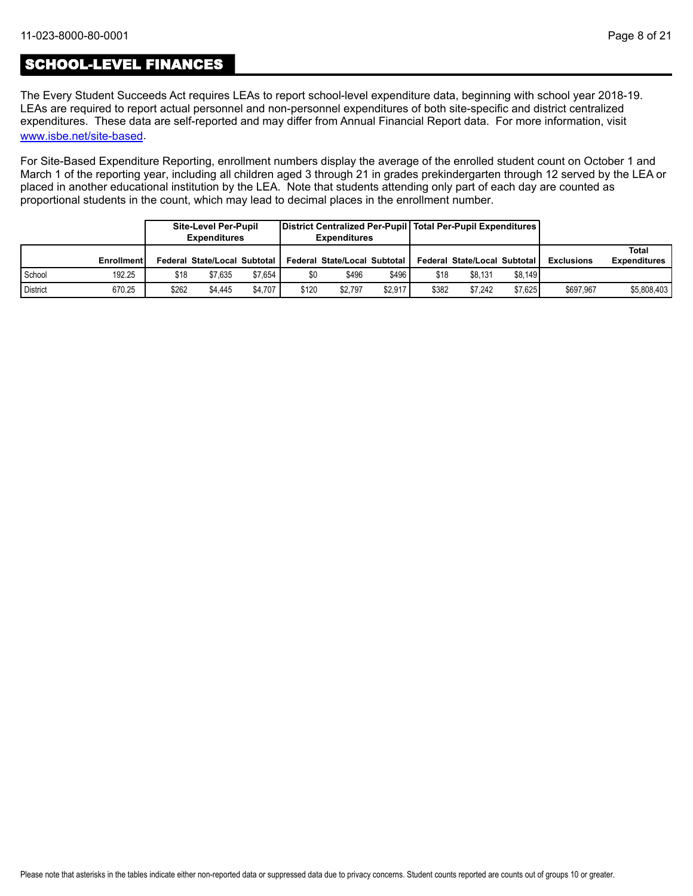# SCHOOL-LEVEL FINANCES

[www.isbe.net/site-based](https://www.isbe.net/site-based). The Every Student Succeeds Act requires LEAs to report school-level expenditure data, beginning with school year 2018-19. LEAs are required to report actual personnel and non-personnel expenditures of both site-specific and district centralized expenditures. These data are self-reported and may differ from Annual Financial Report data. For more information, visit

For Site-Based Expenditure Reporting, enrollment numbers display the average of the enrolled student count on October 1 and March 1 of the reporting year, including all children aged 3 through 21 in grades prekindergarten through 12 served by the LEA or placed in another educational institution by the LEA. Note that students attending only part of each day are counted as proportional students in the count, which may lead to decimal places in the enrollment number.

|                 |                   |       | <b>Site-Level Per-Pupil</b><br><b>Expenditures</b> |         |       | District Centralized Per-Pupil   Total Per-Pupil Expenditures  <br><b>Expenditures</b> |         |       |                              |         |                   |                              |
|-----------------|-------------------|-------|----------------------------------------------------|---------|-------|----------------------------------------------------------------------------------------|---------|-------|------------------------------|---------|-------------------|------------------------------|
|                 | <b>Enrollment</b> |       | Federal State/Local Subtotal I                     |         |       | <b>Federal State/Local Subtotal</b>                                                    |         |       | Federal State/Local Subtotal |         | <b>Exclusions</b> | Total<br><b>Expenditures</b> |
| School          | 192.25            | \$18  | \$7.635                                            | \$7.654 | \$0   | \$496                                                                                  | \$496   | \$18  | \$8.131                      | \$8.149 |                   |                              |
| <b>District</b> | 670.25            | \$262 | \$4.445                                            | \$4.707 | \$120 | \$2.797                                                                                | \$2.917 | \$382 | \$7.242                      | \$7.625 | \$697.967         | \$5,808,403                  |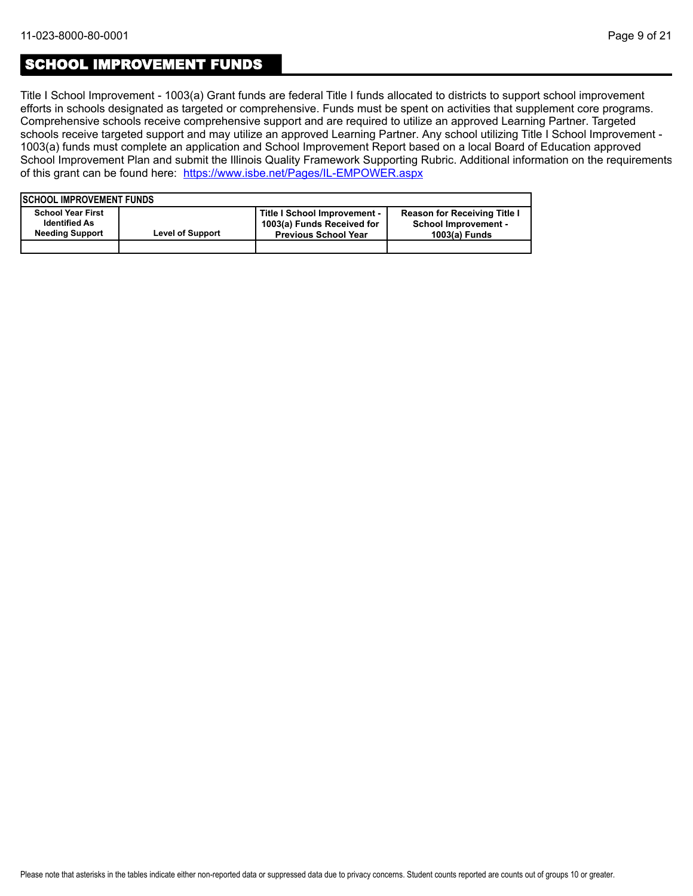## SCHOOL IMPROVEMENT FUNDS

Title I School Improvement - 1003(a) Grant funds are federal Title I funds allocated to districts to support school improvement efforts in schools designated as targeted or comprehensive. Funds must be spent on activities that supplement core programs. Comprehensive schools receive comprehensive support and are required to utilize an approved Learning Partner. Targeted schools receive targeted support and may utilize an approved Learning Partner. Any school utilizing Title I School Improvement - 1003(a) funds must complete an application and School Improvement Report based on a local Board of Education approved School Improvement Plan and submit the Illinois Quality Framework Supporting Rubric. Additional information on the requirements of this grant can be found here:<https://www.isbe.net/Pages/IL-EMPOWER.aspx>

| <b>ISCHOOL IMPROVEMENT FUNDS</b>                                           |                         |                                                                                           |                                                                                     |
|----------------------------------------------------------------------------|-------------------------|-------------------------------------------------------------------------------------------|-------------------------------------------------------------------------------------|
| <b>School Year First</b><br><b>Identified As</b><br><b>Needing Support</b> | <b>Level of Support</b> | Title I School Improvement -<br>1003(a) Funds Received for<br><b>Previous School Year</b> | <b>Reason for Receiving Title I</b><br><b>School Improvement -</b><br>1003(a) Funds |
|                                                                            |                         |                                                                                           |                                                                                     |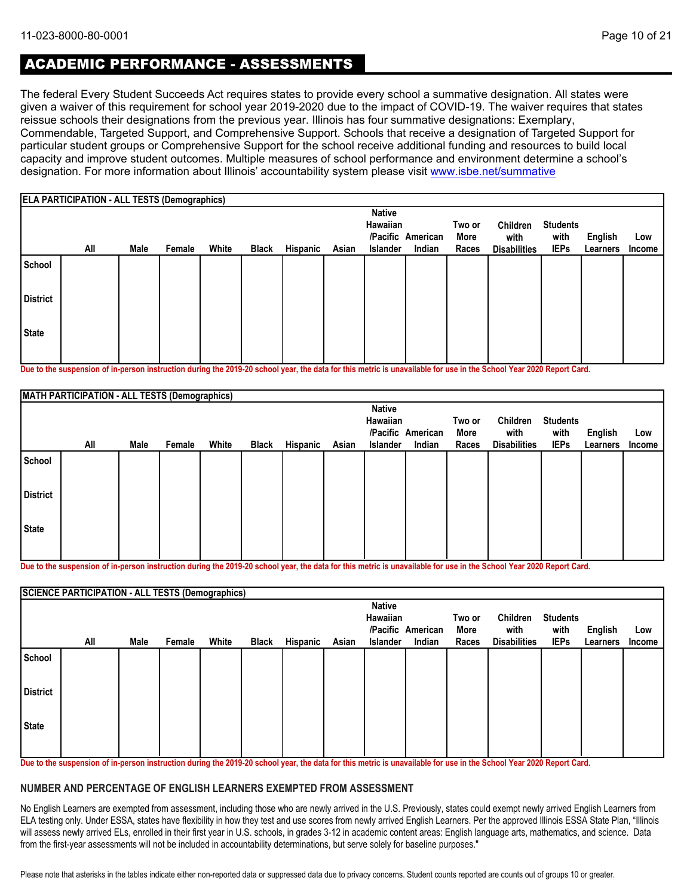# ACADEMIC PERFORMANCE - ASSESSMENTS

The federal Every Student Succeeds Act requires states to provide every school a summative designation. All states were given a waiver of this requirement for school year 2019-2020 due to the impact of COVID-19. The waiver requires that states reissue schools their designations from the previous year. Illinois has four summative designations: Exemplary, Commendable, Targeted Support, and Comprehensive Support. Schools that receive a designation of Targeted Support for particular student groups or Comprehensive Support for the school receive additional funding and resources to build local capacity and improve student outcomes. Multiple measures of school performance and environment determine a school's designation. For more information about Illinois' accountability system please visit [www.isbe.net/summative](http://www.isbe.net/summative)

|                 | <b>ELA PARTICIPATION - ALL TESTS (Demographics)</b> |      |        |       |              |          |       |                                              |                             |                         |                                         |                                        |                            |                      |
|-----------------|-----------------------------------------------------|------|--------|-------|--------------|----------|-------|----------------------------------------------|-----------------------------|-------------------------|-----------------------------------------|----------------------------------------|----------------------------|----------------------|
|                 | All                                                 | Male | Female | White | <b>Black</b> | Hispanic | Asian | <b>Native</b><br>Hawaiian<br><b>Islander</b> | /Pacific American<br>Indian | Two or<br>More<br>Races | Children<br>with<br><b>Disabilities</b> | <b>Students</b><br>with<br><b>IEPs</b> | <b>English</b><br>Learners | Low<br><b>Income</b> |
| School          |                                                     |      |        |       |              |          |       |                                              |                             |                         |                                         |                                        |                            |                      |
| <b>District</b> |                                                     |      |        |       |              |          |       |                                              |                             |                         |                                         |                                        |                            |                      |
| <b>State</b>    |                                                     |      |        |       |              |          |       |                                              |                             |                         |                                         |                                        |                            |                      |

**Due to the suspension of in-person instruction during the 2019-20 school year, the data for this metric is unavailable for use in the School Year 2020 Report Card.**

|                 | MATH PARTICIPATION - ALL TESTS (Demographics) |      |        |       |              |          |       |                           |                   |        |                     |                 |          |        |
|-----------------|-----------------------------------------------|------|--------|-------|--------------|----------|-------|---------------------------|-------------------|--------|---------------------|-----------------|----------|--------|
|                 |                                               |      |        |       |              |          |       | <b>Native</b><br>Hawaiian |                   | Two or | Children            | <b>Students</b> |          |        |
|                 |                                               |      |        |       |              |          |       |                           | /Pacific American | More   | with                | with            | English  | Low    |
|                 | All                                           | Male | Female | White | <b>Black</b> | Hispanic | Asian | Islander                  | Indian            | Races  | <b>Disabilities</b> | <b>IEPs</b>     | Learners | Income |
| School          |                                               |      |        |       |              |          |       |                           |                   |        |                     |                 |          |        |
| <b>District</b> |                                               |      |        |       |              |          |       |                           |                   |        |                     |                 |          |        |
| State           |                                               |      |        |       |              |          |       |                           |                   |        |                     |                 |          |        |
|                 |                                               |      |        |       |              |          |       |                           |                   |        |                     |                 |          |        |

**Due to the suspension of in-person instruction during the 2019-20 school year, the data for this metric is unavailable for use in the School Year 2020 Report Card.**

|                 | <b>SCIENCE PARTICIPATION - ALL TESTS (Demographics)</b> |      |        |       |              |          |       |                           |                   |        |                     |                 |          |        |
|-----------------|---------------------------------------------------------|------|--------|-------|--------------|----------|-------|---------------------------|-------------------|--------|---------------------|-----------------|----------|--------|
|                 |                                                         |      |        |       |              |          |       | <b>Native</b><br>Hawaiian |                   | Two or | Children            | <b>Students</b> |          |        |
|                 |                                                         |      |        |       |              |          |       |                           | /Pacific American | More   | with                | with            | English  | Low    |
|                 | All                                                     | Male | Female | White | <b>Black</b> | Hispanic | Asian | <b>Islander</b>           | Indian            | Races  | <b>Disabilities</b> | <b>IEPs</b>     | Learners | Income |
| School          |                                                         |      |        |       |              |          |       |                           |                   |        |                     |                 |          |        |
| <b>District</b> |                                                         |      |        |       |              |          |       |                           |                   |        |                     |                 |          |        |
| <b>State</b>    |                                                         |      |        |       |              |          |       |                           |                   |        |                     |                 |          |        |
|                 |                                                         |      |        |       |              |          |       |                           |                   |        |                     |                 |          |        |

**Due to the suspension of in-person instruction during the 2019-20 school year, the data for this metric is unavailable for use in the School Year 2020 Report Card.**

#### **NUMBER AND PERCENTAGE OF ENGLISH LEARNERS EXEMPTED FROM ASSESSMENT**

No English Learners are exempted from assessment, including those who are newly arrived in the U.S. Previously, states could exempt newly arrived English Learners from ELA testing only. Under ESSA, states have flexibility in how they test and use scores from newly arrived English Learners. Per the approved Illinois ESSA State Plan, "Illinois will assess newly arrived ELs, enrolled in their first year in U.S. schools, in grades 3-12 in academic content areas: English language arts, mathematics, and science. Data from the first-year assessments will not be included in accountability determinations, but serve solely for baseline purposes."

Please note that asterisks in the tables indicate either non-reported data or suppressed data due to privacy concerns. Student counts reported are counts out of groups 10 or greater.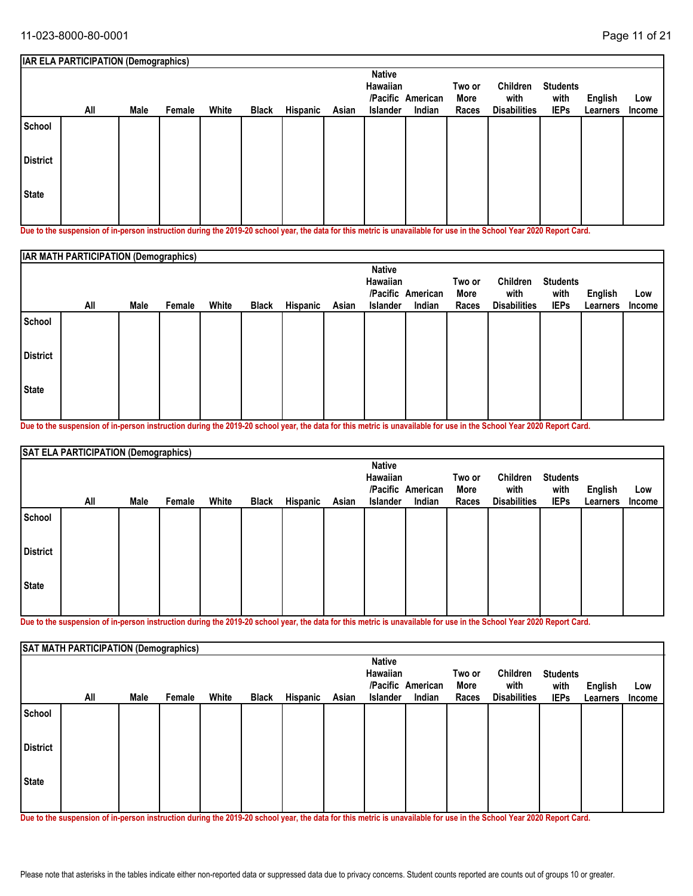|                 | <b>IAR ELA PARTICIPATION (Demographics)</b>                                                                                                                |      |        |       |              |          |       |                                              |                             |                         |                                         |                                        |                            |                      |
|-----------------|------------------------------------------------------------------------------------------------------------------------------------------------------------|------|--------|-------|--------------|----------|-------|----------------------------------------------|-----------------------------|-------------------------|-----------------------------------------|----------------------------------------|----------------------------|----------------------|
|                 | All                                                                                                                                                        | Male | Female | White | <b>Black</b> | Hispanic | Asian | <b>Native</b><br>Hawaiian<br><b>Islander</b> | /Pacific American<br>Indian | Two or<br>More<br>Races | Children<br>with<br><b>Disabilities</b> | <b>Students</b><br>with<br><b>IEPs</b> | <b>English</b><br>Learners | Low<br><b>Income</b> |
| School          |                                                                                                                                                            |      |        |       |              |          |       |                                              |                             |                         |                                         |                                        |                            |                      |
| <b>District</b> |                                                                                                                                                            |      |        |       |              |          |       |                                              |                             |                         |                                         |                                        |                            |                      |
| <b>State</b>    |                                                                                                                                                            |      |        |       |              |          |       |                                              |                             |                         |                                         |                                        |                            |                      |
|                 | Bur to the comparation of the comparational collection the AAA AA school compatibility of the compatibility for control the Ashevil Visco AAAA Burguet And |      |        |       |              |          |       |                                              |                             |                         |                                         |                                        |                            |                      |

**Due to the suspension of in-person instruction during the 2019-20 school year, the data for this metric is unavailable for use in the School Year 2020 Report Card.**

|                 | <b>IAR MATH PARTICIPATION (Demographics)</b> |      |        |       |              |          |       |                                       |                             |                         |                                         |                                        |                            |               |
|-----------------|----------------------------------------------|------|--------|-------|--------------|----------|-------|---------------------------------------|-----------------------------|-------------------------|-----------------------------------------|----------------------------------------|----------------------------|---------------|
|                 | All                                          | Male | Female | White | <b>Black</b> | Hispanic | Asian | <b>Native</b><br>Hawaiian<br>Islander | /Pacific American<br>Indian | Two or<br>More<br>Races | Children<br>with<br><b>Disabilities</b> | <b>Students</b><br>with<br><b>IEPs</b> | <b>English</b><br>Learners | Low<br>Income |
| School          |                                              |      |        |       |              |          |       |                                       |                             |                         |                                         |                                        |                            |               |
| <b>District</b> |                                              |      |        |       |              |          |       |                                       |                             |                         |                                         |                                        |                            |               |
| <b>State</b>    |                                              |      |        |       |              |          |       |                                       |                             |                         |                                         |                                        |                            |               |

**Due to the suspension of in-person instruction during the 2019-20 school year, the data for this metric is unavailable for use in the School Year 2020 Report Card.**

|                 | SAT ELA PARTICIPATION (Demographics) |      |        |       |              |          |       |                                              |                             |                         |                                         |                                        |                     |               |
|-----------------|--------------------------------------|------|--------|-------|--------------|----------|-------|----------------------------------------------|-----------------------------|-------------------------|-----------------------------------------|----------------------------------------|---------------------|---------------|
|                 | All                                  | Male | Female | White | <b>Black</b> | Hispanic | Asian | <b>Native</b><br><b>Hawaiian</b><br>Islander | /Pacific American<br>Indian | Two or<br>More<br>Races | Children<br>with<br><b>Disabilities</b> | <b>Students</b><br>with<br><b>IEPs</b> | English<br>Learners | Low<br>Income |
| School          |                                      |      |        |       |              |          |       |                                              |                             |                         |                                         |                                        |                     |               |
| <b>District</b> |                                      |      |        |       |              |          |       |                                              |                             |                         |                                         |                                        |                     |               |
| State           |                                      |      |        |       |              |          |       |                                              |                             |                         |                                         |                                        |                     |               |

**Due to the suspension of in-person instruction during the 2019-20 school year, the data for this metric is unavailable for use in the School Year 2020 Report Card.**

|                 | SAT MATH PARTICIPATION (Demographics) |      |        |       |              |          |       |                                       |                             |                         |                                         |                                        |                     |               |
|-----------------|---------------------------------------|------|--------|-------|--------------|----------|-------|---------------------------------------|-----------------------------|-------------------------|-----------------------------------------|----------------------------------------|---------------------|---------------|
|                 | All                                   | Male | Female | White | <b>Black</b> | Hispanic | Asian | <b>Native</b><br>Hawaiian<br>Islander | /Pacific American<br>Indian | Two or<br>More<br>Races | Children<br>with<br><b>Disabilities</b> | <b>Students</b><br>with<br><b>IEPs</b> | English<br>Learners | Low<br>Income |
| School          |                                       |      |        |       |              |          |       |                                       |                             |                         |                                         |                                        |                     |               |
| <b>District</b> |                                       |      |        |       |              |          |       |                                       |                             |                         |                                         |                                        |                     |               |
| State           |                                       |      |        |       |              |          |       |                                       |                             |                         |                                         |                                        |                     |               |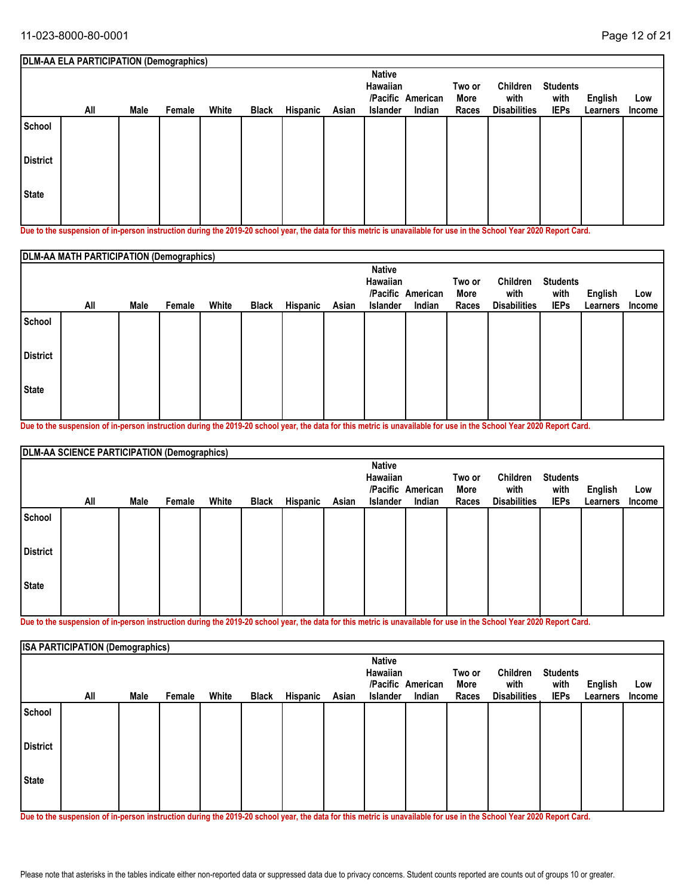|                 | DLM-AA ELA PARTICIPATION (Demographics)                                                                                                                    |      |        |       |              |          |       |                                                          |                    |                         |                                         |                                        |                     |               |
|-----------------|------------------------------------------------------------------------------------------------------------------------------------------------------------|------|--------|-------|--------------|----------|-------|----------------------------------------------------------|--------------------|-------------------------|-----------------------------------------|----------------------------------------|---------------------|---------------|
|                 | All                                                                                                                                                        | Male | Female | White | <b>Black</b> | Hispanic | Asian | <b>Native</b><br>Hawaiian<br>/Pacific<br><b>Islander</b> | American<br>Indian | Two or<br>More<br>Races | Children<br>with<br><b>Disabilities</b> | <b>Students</b><br>with<br><b>IEPs</b> | English<br>Learners | Low<br>Income |
| School          |                                                                                                                                                            |      |        |       |              |          |       |                                                          |                    |                         |                                         |                                        |                     |               |
| <b>District</b> |                                                                                                                                                            |      |        |       |              |          |       |                                                          |                    |                         |                                         |                                        |                     |               |
| l State         |                                                                                                                                                            |      |        |       |              |          |       |                                                          |                    |                         |                                         |                                        |                     |               |
|                 | Dua ta tha ananantan af in naman inaturatiwa dimina tha 9040.90 aghaal wan tha data farthis matuja in manailahla farma in tha Cabaal Vaau 9090 Danaut Caud |      |        |       |              |          |       |                                                          |                    |                         |                                         |                                        |                     |               |

**Due to the suspension of in-person instruction during the 2019-20 school year, the data for this metric is unavailable for use in the School Year 2020 Report Card.**

|                 | DLM-AA MATH PARTICIPATION (Demographics) |      |        |       |              |          |       |                                              |                             |                         |                                         |                                        |                     |               |
|-----------------|------------------------------------------|------|--------|-------|--------------|----------|-------|----------------------------------------------|-----------------------------|-------------------------|-----------------------------------------|----------------------------------------|---------------------|---------------|
|                 | All                                      | Male | Female | White | <b>Black</b> | Hispanic | Asian | <b>Native</b><br>Hawaiian<br><b>Islander</b> | /Pacific American<br>Indian | Two or<br>More<br>Races | Children<br>with<br><b>Disabilities</b> | <b>Students</b><br>with<br><b>IEPs</b> | English<br>Learners | Low<br>Income |
| School          |                                          |      |        |       |              |          |       |                                              |                             |                         |                                         |                                        |                     |               |
| <b>District</b> |                                          |      |        |       |              |          |       |                                              |                             |                         |                                         |                                        |                     |               |
| <b>State</b>    |                                          |      |        |       |              |          |       |                                              |                             |                         |                                         |                                        |                     |               |

**Due to the suspension of in-person instruction during the 2019-20 school year, the data for this metric is unavailable for use in the School Year 2020 Report Card.**

|                 | DLM-AA SCIENCE PARTICIPATION (Demographics) |      |        |       |       |          |       |                 |                   |        |                     |                 |          |        |
|-----------------|---------------------------------------------|------|--------|-------|-------|----------|-------|-----------------|-------------------|--------|---------------------|-----------------|----------|--------|
|                 |                                             |      |        |       |       |          |       | <b>Native</b>   |                   |        |                     |                 |          |        |
|                 |                                             |      |        |       |       |          |       | Hawaiian        |                   | Two or | Children            | <b>Students</b> |          |        |
|                 |                                             |      |        |       |       |          |       |                 | /Pacific American | More   | with                | with            | English  | Low    |
|                 | All                                         | Male | Female | White | Black | Hispanic | Asian | <b>Islander</b> | Indian            | Races  | <b>Disabilities</b> | <b>IEPs</b>     | Learners | Income |
| School          |                                             |      |        |       |       |          |       |                 |                   |        |                     |                 |          |        |
| <b>District</b> |                                             |      |        |       |       |          |       |                 |                   |        |                     |                 |          |        |
| <b>State</b>    |                                             |      |        |       |       |          |       |                 |                   |        |                     |                 |          |        |
|                 |                                             |      |        |       |       |          |       |                 |                   |        |                     |                 |          |        |

**Due to the suspension of in-person instruction during the 2019-20 school year, the data for this metric is unavailable for use in the School Year 2020 Report Card.**

|                 | <b>ISA PARTICIPATION (Demographics)</b> |      |        |       |              |          |       |                                       |                             |                         |                                         |                                        |                     |               |
|-----------------|-----------------------------------------|------|--------|-------|--------------|----------|-------|---------------------------------------|-----------------------------|-------------------------|-----------------------------------------|----------------------------------------|---------------------|---------------|
|                 | All                                     | Male | Female | White | <b>Black</b> | Hispanic | Asian | <b>Native</b><br>Hawaiian<br>Islander | /Pacific American<br>Indian | Two or<br>More<br>Races | Children<br>with<br><b>Disabilities</b> | <b>Students</b><br>with<br><b>IEPs</b> | English<br>Learners | Low<br>Income |
| School          |                                         |      |        |       |              |          |       |                                       |                             |                         |                                         |                                        |                     |               |
| <b>District</b> |                                         |      |        |       |              |          |       |                                       |                             |                         |                                         |                                        |                     |               |
| State           |                                         |      |        |       |              |          |       |                                       |                             |                         |                                         |                                        |                     |               |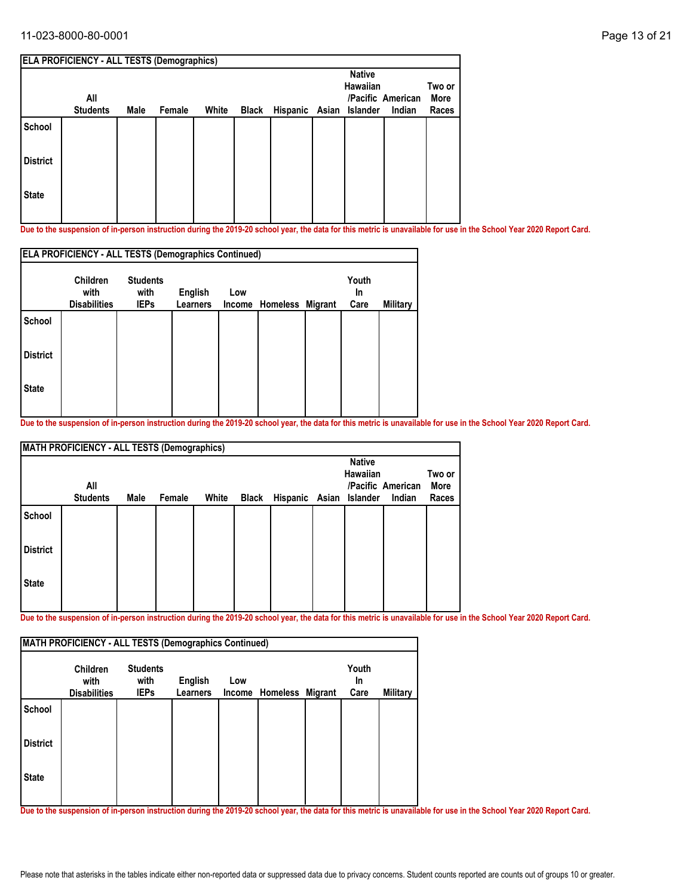#### 11-023-8000-80-0001 Page 13 of 21

|                 | <b>ELA PROFICIENCY - ALL TESTS (Demographics)</b> |      |        |       |              |                |               |                   |        |
|-----------------|---------------------------------------------------|------|--------|-------|--------------|----------------|---------------|-------------------|--------|
|                 |                                                   |      |        |       |              |                | <b>Native</b> |                   |        |
|                 |                                                   |      |        |       |              |                | Hawaiian      |                   | Two or |
|                 | All                                               |      |        |       |              |                |               | /Pacific American | More   |
|                 | <b>Students</b>                                   | Male | Female | White | <b>Black</b> | Hispanic Asian | Islander      | Indian            | Races  |
| <b>School</b>   |                                                   |      |        |       |              |                |               |                   |        |
| <b>District</b> |                                                   |      |        |       |              |                |               |                   |        |
| <b>State</b>    |                                                   |      |        |       |              |                |               |                   |        |
|                 |                                                   |      |        |       |              |                |               |                   |        |

**Due to the suspension of in-person instruction during the 2019-20 school year, the data for this metric is unavailable for use in the School Year 2020 Report Card.**

|                 | <b>ELA PROFICIENCY - ALL TESTS (Demographics Continued)</b> |                                        |                            |               |          |                |                     |                 |  |  |  |  |
|-----------------|-------------------------------------------------------------|----------------------------------------|----------------------------|---------------|----------|----------------|---------------------|-----------------|--|--|--|--|
|                 | <b>Children</b><br>with<br><b>Disabilities</b>              | <b>Students</b><br>with<br><b>IEPs</b> | <b>English</b><br>Learners | Low<br>Income | Homeless | <b>Migrant</b> | Youth<br>In<br>Care | <b>Military</b> |  |  |  |  |
| <b>School</b>   |                                                             |                                        |                            |               |          |                |                     |                 |  |  |  |  |
| <b>District</b> |                                                             |                                        |                            |               |          |                |                     |                 |  |  |  |  |
| <b>State</b>    |                                                             |                                        |                            |               |          |                |                     |                 |  |  |  |  |

**Due to the suspension of in-person instruction during the 2019-20 school year, the data for this metric is unavailable for use in the School Year 2020 Report Card.**

|                 | <b>MATH PROFICIENCY - ALL TESTS (Demographics)</b> |      |        |       |       |                         |                                  |                             |                         |
|-----------------|----------------------------------------------------|------|--------|-------|-------|-------------------------|----------------------------------|-----------------------------|-------------------------|
|                 | All<br><b>Students</b>                             | Male | Female | White | Black | Hispanic Asian Islander | <b>Native</b><br><b>Hawaiian</b> | /Pacific American<br>Indian | Two or<br>More<br>Races |
| School          |                                                    |      |        |       |       |                         |                                  |                             |                         |
| <b>District</b> |                                                    |      |        |       |       |                         |                                  |                             |                         |
| <b>State</b>    |                                                    |      |        |       |       |                         |                                  |                             |                         |

**Due to the suspension of in-person instruction during the 2019-20 school year, the data for this metric is unavailable for use in the School Year 2020 Report Card.**

|                 | <b>Children</b><br>with | <b>Students</b><br>with | <b>English</b>  | Low |                         | Youth<br><b>In</b> |          |
|-----------------|-------------------------|-------------------------|-----------------|-----|-------------------------|--------------------|----------|
|                 | <b>Disabilities</b>     | <b>IEPs</b>             | <b>Learners</b> |     | Income Homeless Migrant | Care               | Military |
| <b>School</b>   |                         |                         |                 |     |                         |                    |          |
| <b>District</b> |                         |                         |                 |     |                         |                    |          |
| <b>State</b>    |                         |                         |                 |     |                         |                    |          |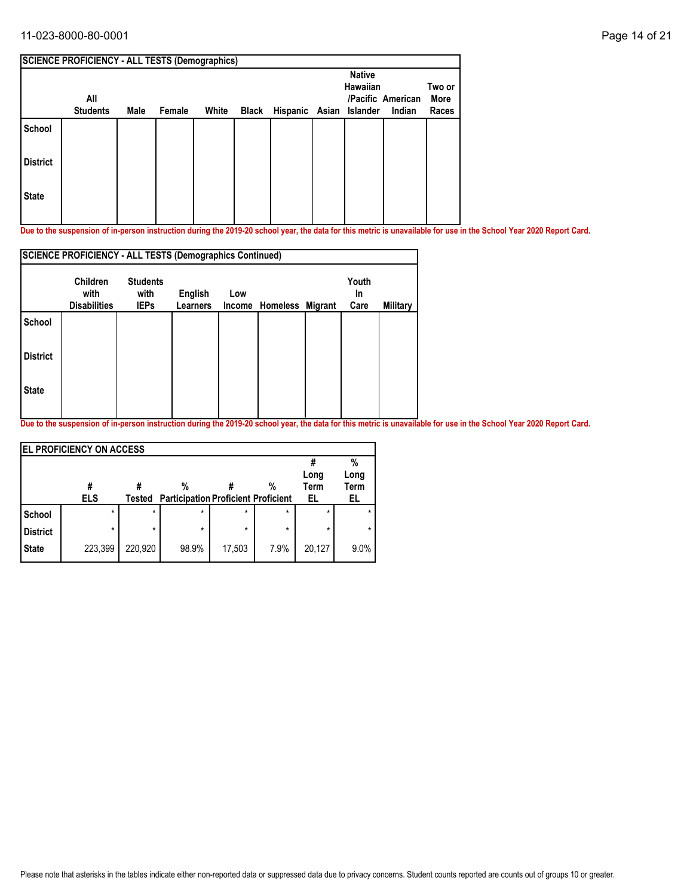### 11-023-8000-80-0001 Page 14 of 21

| <b>SCIENCE PROFICIENCY - ALL TESTS (Demographics)</b> |                        |      |        |       |  |                               |  |                                  |                             |                         |
|-------------------------------------------------------|------------------------|------|--------|-------|--|-------------------------------|--|----------------------------------|-----------------------------|-------------------------|
|                                                       | All<br><b>Students</b> | Male | Female | White |  | Black Hispanic Asian Islander |  | <b>Native</b><br><b>Hawaiian</b> | /Pacific American<br>Indian | Two or<br>More<br>Races |
| School                                                |                        |      |        |       |  |                               |  |                                  |                             |                         |
| <b>District</b>                                       |                        |      |        |       |  |                               |  |                                  |                             |                         |
| <b>State</b>                                          |                        |      |        |       |  |                               |  |                                  |                             |                         |

**Due to the suspension of in-person instruction during the 2019-20 school year, the data for this metric is unavailable for use in the School Year 2020 Report Card.**

| SCIENCE PROFICIENCY - ALL TESTS (Demographics Continued) |                             |                     |                            |     |                         |  |            |          |  |  |  |
|----------------------------------------------------------|-----------------------------|---------------------|----------------------------|-----|-------------------------|--|------------|----------|--|--|--|
|                                                          | <b>Children</b>             | <b>Students</b>     |                            |     |                         |  | Youth      |          |  |  |  |
|                                                          | with<br><b>Disabilities</b> | with<br><b>IEPs</b> | English<br><b>Learners</b> | Low | Income Homeless Migrant |  | In<br>Care | Military |  |  |  |
| <b>School</b>                                            |                             |                     |                            |     |                         |  |            |          |  |  |  |
| <b>District</b>                                          |                             |                     |                            |     |                         |  |            |          |  |  |  |
| <b>State</b>                                             |                             |                     |                            |     |                         |  |            |          |  |  |  |
|                                                          |                             |                     |                            |     |                         |  |            |          |  |  |  |

|                 | <b>EL PROFICIENCY ON ACCESS</b> |         |                                            |         |         |             |         |
|-----------------|---------------------------------|---------|--------------------------------------------|---------|---------|-------------|---------|
|                 |                                 |         |                                            |         |         |             | %       |
|                 |                                 |         |                                            |         |         | Long        | Long    |
|                 | #                               |         | %                                          |         | %       | <b>Term</b> | Term    |
|                 | <b>ELS</b>                      | Tested  | <b>Participation Proficient Proficient</b> |         |         | EL          | EL      |
| <b>School</b>   | $\star$                         | $\star$ | $\star$                                    | $\star$ | $\star$ | $\star$     |         |
| <b>District</b> | $\star$                         | $\star$ | $\star$                                    | $\star$ | $\star$ | $\star$     | $\star$ |
| <b>State</b>    | 223,399                         | 220,920 | 98.9%                                      | 17,503  | 7.9%    | 20,127      | 9.0%    |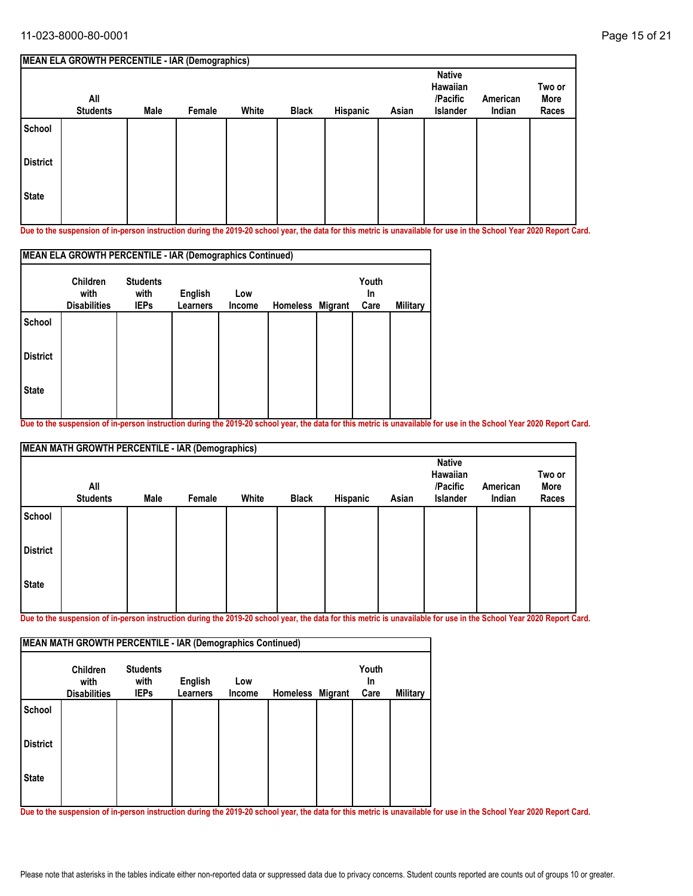|                 | <b>MEAN ELA GROWTH PERCENTILE - IAR (Demographics)</b> |             |        |       |       |          |       |                                                   |                    |                         |
|-----------------|--------------------------------------------------------|-------------|--------|-------|-------|----------|-------|---------------------------------------------------|--------------------|-------------------------|
|                 | All<br><b>Students</b>                                 | <b>Male</b> | Female | White | Black | Hispanic | Asian | <b>Native</b><br>Hawaiian<br>/Pacific<br>Islander | American<br>Indian | Two or<br>More<br>Races |
| School          |                                                        |             |        |       |       |          |       |                                                   |                    |                         |
| <b>District</b> |                                                        |             |        |       |       |          |       |                                                   |                    |                         |
| <b>State</b>    |                                                        |             |        |       |       |          |       |                                                   |                    |                         |

**Due to the suspension of in-person instruction during the 2019-20 school year, the data for this metric is unavailable for use in the School Year 2020 Report Card.**

|                 | MEAN ELA GROWTH PERCENTILE - IAR (Demographics Continued)<br><b>Children</b> | <b>Students</b> |                 |        |                  | Youth |          |
|-----------------|------------------------------------------------------------------------------|-----------------|-----------------|--------|------------------|-------|----------|
|                 | with                                                                         | with            | <b>English</b>  | Low    |                  | In    |          |
|                 | <b>Disabilities</b>                                                          | <b>IEPs</b>     | <b>Learners</b> | Income | Homeless Migrant | Care  | Military |
| School          |                                                                              |                 |                 |        |                  |       |          |
| <b>District</b> |                                                                              |                 |                 |        |                  |       |          |
| <b>State</b>    |                                                                              |                 |                 |        |                  |       |          |
|                 |                                                                              |                 |                 |        |                  |       |          |

**Due to the suspension of in-person instruction during the 2019-20 school year, the data for this metric is unavailable for use in the School Year 2020 Report Card.**

|                 | <b>MEAN MATH GROWTH PERCENTILE - IAR (Demographics)</b> |      |        |       |              |          |       |                                                   |                    |                         |  |  |  |
|-----------------|---------------------------------------------------------|------|--------|-------|--------------|----------|-------|---------------------------------------------------|--------------------|-------------------------|--|--|--|
|                 | All<br><b>Students</b>                                  | Male | Female | White | <b>Black</b> | Hispanic | Asian | <b>Native</b><br>Hawaiian<br>/Pacific<br>Islander | American<br>Indian | Two or<br>More<br>Races |  |  |  |
| School          |                                                         |      |        |       |              |          |       |                                                   |                    |                         |  |  |  |
| <b>District</b> |                                                         |      |        |       |              |          |       |                                                   |                    |                         |  |  |  |
| <b>State</b>    |                                                         |      |        |       |              |          |       |                                                   |                    |                         |  |  |  |

**Due to the suspension of in-person instruction during the 2019-20 school year, the data for this metric is unavailable for use in the School Year 2020 Report Card.**

|                 | <b>Children</b><br>with | <b>Students</b><br>with | English         | Low    |                  | Youth<br><b>In</b> |          |
|-----------------|-------------------------|-------------------------|-----------------|--------|------------------|--------------------|----------|
|                 | <b>Disabilities</b>     | <b>IEPs</b>             | <b>Learners</b> | Income | Homeless Migrant | Care               | Military |
| School          |                         |                         |                 |        |                  |                    |          |
| <b>District</b> |                         |                         |                 |        |                  |                    |          |
| <b>State</b>    |                         |                         |                 |        |                  |                    |          |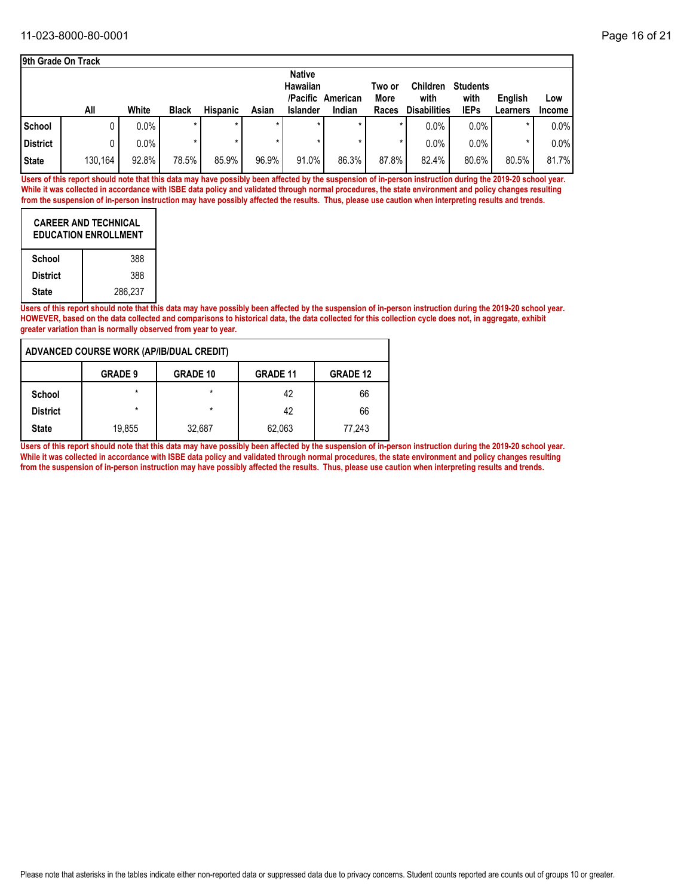**9th Grade On Track**

| yin Grade On Track |         |         |              |                 |         |                           |                   |                |                         |                         |          |               |
|--------------------|---------|---------|--------------|-----------------|---------|---------------------------|-------------------|----------------|-------------------------|-------------------------|----------|---------------|
|                    |         |         |              |                 |         | <b>Native</b><br>Hawaiian | /Pacific American | Two or<br>More | <b>Children</b><br>with | <b>Students</b><br>with | English  | Low           |
|                    | All     | White   | <b>Black</b> | <b>Hispanic</b> | Asian   | <b>Islander</b>           | Indian            | Races          | <b>Disabilities</b>     | <b>IEPs</b>             | Learners | <b>Income</b> |
| School             |         | $0.0\%$ | $\star$      |                 | $\star$ |                           |                   | $\star$        | 0.0%                    | $0.0\%$                 | $\star$  | $0.0\%$       |
| <b>District</b>    |         | $0.0\%$ |              |                 |         |                           |                   |                | 0.0%                    | $0.0\%$                 |          | $0.0\%$       |
| <b>State</b>       | 130,164 | 92.8%   | 78.5%        | 85.9%           | 96.9%   | 91.0%                     | 86.3%             | 87.8%          | 82.4%                   | 80.6%                   | 80.5%    | 81.7%         |

**Users of this report should note that this data may have possibly been affected by the suspension of in-person instruction during the 2019-20 school year. While it was collected in accordance with ISBE data policy and validated through normal procedures, the state environment and policy changes resulting from the suspension of in-person instruction may have possibly affected the results. Thus, please use caution when interpreting results and trends.**

| <b>CAREER AND TECHNICAL</b><br><b>EDUCATION ENROLLMENT</b> |         |  |  |  |  |  |  |
|------------------------------------------------------------|---------|--|--|--|--|--|--|
| School                                                     | 388     |  |  |  |  |  |  |
| <b>District</b>                                            | 388.    |  |  |  |  |  |  |
| <b>State</b>                                               | 286.237 |  |  |  |  |  |  |

**Users of this report should note that this data may have possibly been affected by the suspension of in-person instruction during the 2019-20 school year. HOWEVER, based on the data collected and comparisons to historical data, the data collected for this collection cycle does not, in aggregate, exhibit greater variation than is normally observed from year to year.**

| ADVANCED COURSE WORK (AP/IB/DUAL CREDIT) |                |                 |                 |                 |  |  |  |  |  |  |
|------------------------------------------|----------------|-----------------|-----------------|-----------------|--|--|--|--|--|--|
|                                          | <b>GRADE 9</b> | <b>GRADE 10</b> | <b>GRADE 11</b> | <b>GRADE 12</b> |  |  |  |  |  |  |
| School                                   | $\star$        | $\star$         | 42              | 66              |  |  |  |  |  |  |
| <b>District</b>                          | $\star$        | $\star$         | 42              | 66              |  |  |  |  |  |  |
| <b>State</b>                             | 19,855         | 32,687          | 62,063          | 77,243          |  |  |  |  |  |  |

**Users of this report should note that this data may have possibly been affected by the suspension of in-person instruction during the 2019-20 school year. While it was collected in accordance with ISBE data policy and validated through normal procedures, the state environment and policy changes resulting from the suspension of in-person instruction may have possibly affected the results. Thus, please use caution when interpreting results and trends.**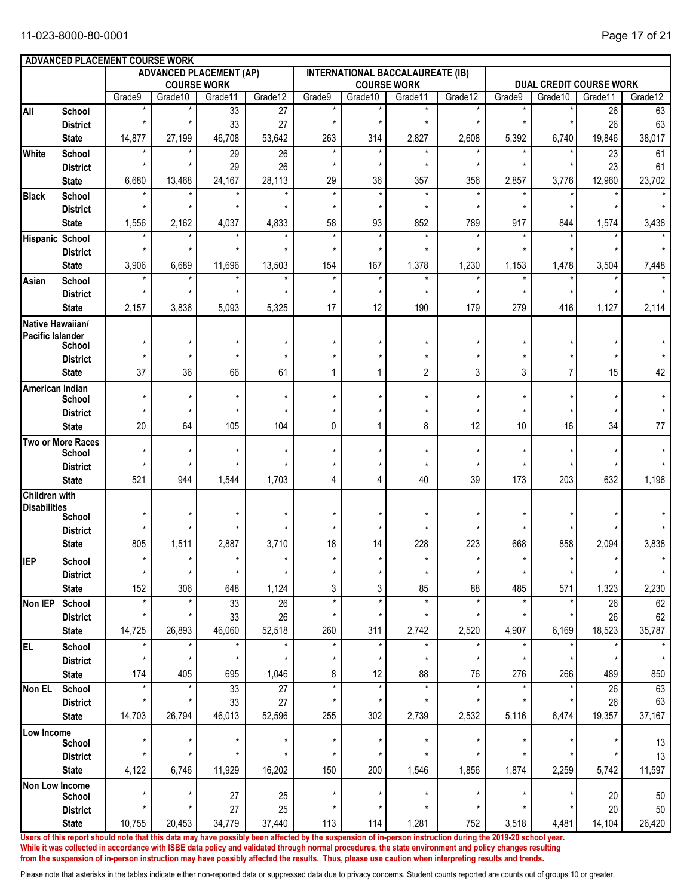|                      | ADVANCED PLACEMENT COURSE WORK   |                     |                    |                                                      |                   |                      |                          |                                                               |                     |                     |                                |                  |                    |
|----------------------|----------------------------------|---------------------|--------------------|------------------------------------------------------|-------------------|----------------------|--------------------------|---------------------------------------------------------------|---------------------|---------------------|--------------------------------|------------------|--------------------|
|                      |                                  |                     |                    | <b>ADVANCED PLACEMENT (AP)</b><br><b>COURSE WORK</b> |                   |                      |                          | <b>INTERNATIONAL BACCALAUREATE (IB)</b><br><b>COURSE WORK</b> |                     |                     | <b>DUAL CREDIT COURSE WORK</b> |                  |                    |
|                      |                                  | Grade9              | Grade10            | Grade11                                              | Grade12           | Grade9               | Grade10                  | Grade11                                                       | Grade12             | Grade9              | Grade10                        | Grade11          | Grade12            |
| All                  | School                           | $\star$             | $\star$            | 33                                                   | 27                | $^\star$             | $\star$                  | $\star$                                                       | $^\star$            | $\star$             |                                | 26               | 63                 |
|                      | <b>District</b>                  | $^\star$            | $^\star$           | 33                                                   | 27                | $\star$              | $\star$                  | $^\star$                                                      | $\star$             | $\star$             |                                | 26               | 63                 |
|                      | <b>State</b>                     | 14,877              | 27,199             | 46,708                                               | 53,642            | 263                  | 314                      | 2,827                                                         | 2,608               | 5,392               | 6,740                          | 19,846           | 38,017             |
| White                | School                           | $\star$<br>$\star$  | $\star$<br>$\star$ | 29                                                   | 26                | $\star$<br>$\star$   | $^\star$<br>$\star$      | $^\star$<br>$\star$                                           | $^\star$<br>$\star$ | $^\star$<br>$\star$ |                                | 23               | 61                 |
|                      | <b>District</b><br><b>State</b>  | 6,680               | 13,468             | 29<br>24,167                                         | 26<br>28,113      | 29                   | 36                       | 357                                                           | 356                 | 2,857               | 3,776                          | 23<br>12,960     | 61<br>23,702       |
| <b>Black</b>         | School                           | $\star$             |                    |                                                      | $\star$           | $\star$              | $\star$                  | $\star$                                                       | $\star$             | $\star$             |                                |                  |                    |
|                      | <b>District</b>                  | $\star$             | $\star$            | $\star$                                              | $\star$           | $\star$              | $\star$                  | $\star$                                                       | $\star$             | $^\star$            |                                |                  |                    |
|                      | <b>State</b>                     | 1,556               | 2,162              | 4,037                                                | 4,833             | 58                   | 93                       | 852                                                           | 789                 | 917                 | 844                            | 1,574            | 3,438              |
| Hispanic School      |                                  | $^\star$            | $\star$            | $\star$                                              | $\star$           | $\star$              | $\star$                  | $\star$                                                       | $\star$             | $\star$             |                                |                  |                    |
|                      | <b>District</b>                  |                     | $\star$            |                                                      | $\star$           | $\star$              | $\star$                  | $\star$                                                       | $\star$             | $\star$             |                                |                  |                    |
|                      | <b>State</b>                     | 3,906<br>$\star$    | 6,689              | 11,696                                               | 13,503<br>$\star$ | 154<br>$\star$       | 167<br>$^\star$          | 1,378<br>$^\star$                                             | 1,230<br>$\star$    | 1,153<br>$\star$    | 1,478                          | 3,504            | 7,448              |
| Asian                | School<br><b>District</b>        | $^\star$            | $\star$            | $\star$                                              | $\star$           | $\star$              | $\star$                  | $^\star$                                                      | $\star$             | $^\star$            |                                |                  |                    |
|                      | <b>State</b>                     | 2,157               | 3,836              | 5,093                                                | 5,325             | 17                   | 12                       | 190                                                           | 179                 | 279                 | 416                            | 1,127            | 2,114              |
| Native Hawaiian/     |                                  |                     |                    |                                                      |                   |                      |                          |                                                               |                     |                     |                                |                  |                    |
| Pacific Islander     |                                  |                     | $\star$            | $\star$                                              | $\star$           |                      |                          | $\star$                                                       | $\star$             | *                   |                                |                  |                    |
|                      | <b>School</b><br><b>District</b> | $\star$             | $\star$            | $\star$                                              | $\star$           |                      |                          | $\star$                                                       | $\star$             | $\star$             |                                |                  |                    |
|                      | <b>State</b>                     | 37                  | 36                 | 66                                                   | 61                | 1                    |                          | $\overline{2}$                                                | 3                   | 3                   |                                | 15               | 42                 |
| American Indian      |                                  |                     |                    |                                                      |                   |                      |                          |                                                               |                     |                     |                                |                  |                    |
|                      | School                           | $\star$             |                    |                                                      | $\star$           |                      |                          | $\star$                                                       |                     | *                   |                                |                  |                    |
|                      | <b>District</b>                  | $^\star$            |                    | $\star$                                              |                   |                      |                          | $\star$                                                       |                     | *                   |                                |                  | $\star$            |
|                      | <b>State</b>                     | 20                  | 64                 | 105                                                  | 104               | 0                    |                          | 8                                                             | 12                  | 10                  | 16                             | 34               | $77\,$             |
|                      | Two or More Races<br>School      | $^\star$            |                    | *                                                    | $\star$           | $\star$              |                          | $\star$                                                       | ×                   | *                   |                                |                  |                    |
|                      | <b>District</b>                  | $\star$             |                    |                                                      | $\star$           | $\star$              |                          | $\star$                                                       | $\star$             | $\star$             |                                |                  | $\star$            |
|                      | <b>State</b>                     | 521                 | 944                | 1,544                                                | 1,703             | 4                    | 4                        | 40                                                            | 39                  | 173                 | 203                            | 632              | 1,196              |
| <b>Children with</b> |                                  |                     |                    |                                                      |                   |                      |                          |                                                               |                     |                     |                                |                  |                    |
| <b>Disabilities</b>  | School                           | $\star$             |                    |                                                      | $\star$           | $\star$              |                          | $\star$                                                       | $\star$             | $\star$             |                                |                  |                    |
|                      | <b>District</b>                  | $\star$             |                    | $\star$                                              | $\star$           | $\star$              | *                        | $\star$                                                       | $\star$             | $^\star$            |                                |                  |                    |
|                      | <b>State</b>                     | 805                 | 1,511              | 2,887                                                | 3,710             | 18                   | 14                       | 228                                                           | 223                 | 668                 | 858                            | 2,094            | 3,838              |
| <b>IEP</b>           | School                           | $\star$             | $\star$            | $\star$<br>$\star$                                   | $\star$           | $\star$<br>$\star$   | $\star$                  | $\star$                                                       | $\star$<br>$^\star$ | $\star$             | $\star$                        | $\star$          | $\star$<br>$\star$ |
|                      | <b>District</b><br><b>State</b>  | $^\star$<br>152     | $^\star$<br>306    | 648                                                  | $\star$<br>1,124  | 3                    | $\star$<br>3             | $\star$<br>85                                                 | 88                  | $^\star$<br>485     | 571                            | $\star$<br>1,323 | 2,230              |
| Non IEP              | School                           | $^\star$            | $\star$            | 33                                                   | 26                | $\star$              | $\star$                  | $\star$                                                       | $^\star$            | $\star$             |                                | 26               | 62                 |
|                      | <b>District</b>                  | $\star$             |                    | 33                                                   | 26                | $\star$              | $\star$                  | $\star$                                                       | $\star$             | $\star$             |                                | 26               | 62                 |
|                      | <b>State</b>                     | 14,725              | 26,893             | 46,060                                               | 52,518            | 260                  | 311                      | 2,742                                                         | 2,520               | 4,907               | 6,169                          | 18,523           | 35,787             |
| EL.                  | School                           | $\star$             | $^\star$           | $\pmb{\star}$                                        | $\star$           | $\star$              | $\star$                  | $\star$                                                       | $\star$             | $\star$             |                                | $\star$          | $\star$            |
|                      | <b>District</b>                  | $\star$             | $^\star$           | $\pmb{\star}$                                        | $\star$           | $\star$              | $^\star$                 | $\star$                                                       | $\star$             | $\star$             |                                | $\star$          | $\star$            |
|                      | <b>State</b>                     | 174                 | 405                | 695                                                  | 1,046             | 8                    | 12                       | 88                                                            | 76                  | 276                 | 266                            | 489              | 850                |
| Non EL               | School                           | $^\star$<br>$\star$ | $\star$<br>$\star$ | 33<br>33                                             | 27<br>27          | $^\star$<br>$^\star$ | $^\star$<br>$\pmb{\ast}$ | $\star$<br>$\star$                                            | $\star$<br>$\star$  | $\star$<br>$\star$  |                                | 26<br>26         | 63<br>63           |
|                      | <b>District</b><br><b>State</b>  | 14,703              | 26,794             | 46,013                                               | 52,596            | 255                  | 302                      | 2,739                                                         | 2,532               | 5,116               | 6,474                          | 19,357           | 37,167             |
| Low Income           |                                  |                     |                    |                                                      |                   |                      |                          |                                                               |                     |                     |                                |                  |                    |
|                      | School                           | $^\star$            | $\star$            | $\pmb{\star}$                                        | $\star$           | $\star$              | $\star$                  | $\star$                                                       | $\star$             | $\star$             |                                | $\star$          | 13                 |
|                      | <b>District</b>                  | $\star$             |                    | $\star$                                              | $\star$           | $\star$              | $\star$                  | $\star$                                                       | $\star$             | $\star$             |                                | $\star$          | 13                 |
|                      | <b>State</b>                     | 4,122               | 6,746              | 11,929                                               | 16,202            | 150                  | 200                      | 1,546                                                         | 1,856               | 1,874               | 2,259                          | 5,742            | 11,597             |
| Non Low Income       | School                           | $^\star$            |                    | $27\,$                                               | 25                | $\star$              | $\star$                  | $\star$                                                       | $\star$             | *                   |                                | 20               | $50\,$             |
|                      | <b>District</b>                  |                     |                    | 27                                                   | 25                | $\star$              |                          | $\star$                                                       | $\star$             | *                   |                                | 20               | $50\,$             |
|                      | <b>State</b>                     | 10,755              | 20,453             | 34,779                                               | 37,440            | 113                  | 114                      | 1,281                                                         | 752                 | 3,518               | 4,481                          | 14,104           | 26,420             |

**Users of this report should note that this data may have possibly been affected by the suspension of in-person instruction during the 2019-20 school year. While it was collected in accordance with ISBE data policy and validated through normal procedures, the state environment and policy changes resulting from the suspension of in-person instruction may have possibly affected the results. Thus, please use caution when interpreting results and trends.**

Please note that asterisks in the tables indicate either non-reported data or suppressed data due to privacy concerns. Student counts reported are counts out of groups 10 or greater.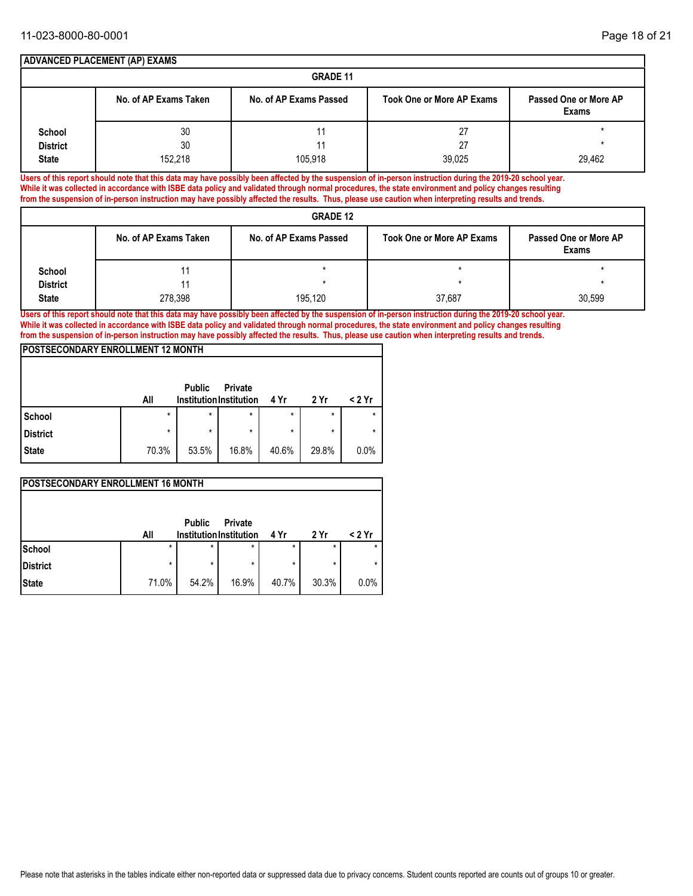#### 11-023-8000-80-0001 Page 18 of 21

Г

٦

|                 | ADVANCED PLACEMENT (AP) EXAMS |                        |                                  |                                       |  |  |  |  |  |  |  |
|-----------------|-------------------------------|------------------------|----------------------------------|---------------------------------------|--|--|--|--|--|--|--|
|                 | <b>GRADE 11</b>               |                        |                                  |                                       |  |  |  |  |  |  |  |
|                 | No. of AP Exams Taken         | No. of AP Exams Passed | <b>Took One or More AP Exams</b> | Passed One or More AP<br><b>Exams</b> |  |  |  |  |  |  |  |
| School          | 30                            |                        | 27                               |                                       |  |  |  |  |  |  |  |
| <b>District</b> | 30                            | 11                     | 27                               |                                       |  |  |  |  |  |  |  |
| <b>State</b>    | 152.218                       | 105,918                | 39,025                           | 29,462                                |  |  |  |  |  |  |  |

**Users of this report should note that this data may have possibly been affected by the suspension of in-person instruction during the 2019-20 school year. While it was collected in accordance with ISBE data policy and validated through normal procedures, the state environment and policy changes resulting from the suspension of in-person instruction may have possibly affected the results. Thus, please use caution when interpreting results and trends.**

| <b>RADE</b> |  |
|-------------|--|
|-------------|--|

|                 | UNAVE IZ              |                        |                                  |                                       |  |  |  |  |  |  |  |
|-----------------|-----------------------|------------------------|----------------------------------|---------------------------------------|--|--|--|--|--|--|--|
|                 | No. of AP Exams Taken | No. of AP Exams Passed | <b>Took One or More AP Exams</b> | Passed One or More AP<br><b>Exams</b> |  |  |  |  |  |  |  |
| School          |                       |                        |                                  |                                       |  |  |  |  |  |  |  |
| <b>District</b> |                       |                        |                                  |                                       |  |  |  |  |  |  |  |
| <b>State</b>    | 278,398               | 195.120                | 37,687                           | 30,599                                |  |  |  |  |  |  |  |

**Users of this report should note that this data may have possibly been affected by the suspension of in-person instruction during the 2019-20 school year. While it was collected in accordance with ISBE data policy and validated through normal procedures, the state environment and policy changes resulting from the suspension of in-person instruction may have possibly affected the results. Thus, please use caution when interpreting results and trends.**

| <b>IPOSTSECONDARY ENROLLMENT 12 MONTH</b> |         |                                                          |                |         |         |         |  |  |  |  |  |
|-------------------------------------------|---------|----------------------------------------------------------|----------------|---------|---------|---------|--|--|--|--|--|
|                                           |         |                                                          |                |         |         |         |  |  |  |  |  |
|                                           |         | <b>Public</b>                                            | <b>Private</b> |         |         |         |  |  |  |  |  |
|                                           | All     | <b>Institution Institution</b><br>< 2 Yr<br>4 Yr<br>2 Yr |                |         |         |         |  |  |  |  |  |
| School                                    | $\star$ | $\star$                                                  | $\star$        | $\star$ | $\star$ | $\star$ |  |  |  |  |  |
| <b>District</b>                           | $\star$ | $\star$                                                  | $\star$        | *       | $\star$ | $\star$ |  |  |  |  |  |
| <b>State</b>                              | 70.3%   | 53.5%                                                    | 16.8%          | 40.6%   | 29.8%   | 0.0%    |  |  |  |  |  |

| <b>IPOSTSECONDARY ENROLLMENT 16 MONTH</b> |         |                                                 |                |         |         |         |  |  |  |  |
|-------------------------------------------|---------|-------------------------------------------------|----------------|---------|---------|---------|--|--|--|--|
|                                           | All     | <b>Public</b><br><b>Institution Institution</b> | <b>Private</b> | 4 Yr    | 2 Yr    | < 2 Yr  |  |  |  |  |
| School                                    | $\star$ | $\star$                                         | $\star$        | $\star$ | $\star$ | $\star$ |  |  |  |  |
| <b>District</b>                           | $\star$ | $\star$                                         | $\star$        | *       | *       | $\star$ |  |  |  |  |
| <b>State</b>                              | 71.0%   | 54.2%                                           | 16.9%          | 40.7%   | 30.3%   | 0.0%    |  |  |  |  |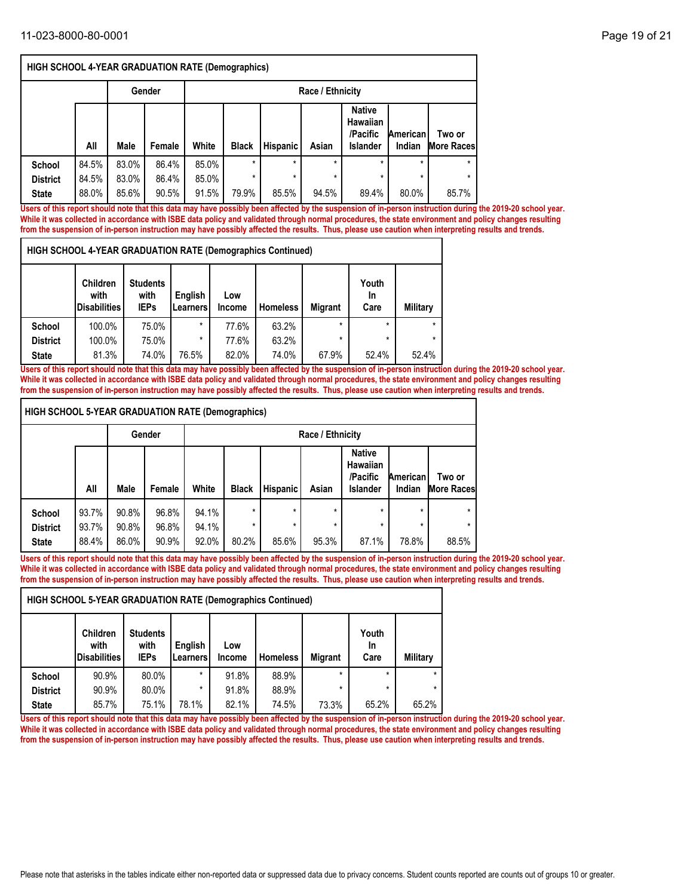г

|                 | <b>HIGH SCHOOL 4-YEAR GRADUATION RATE (Demographics)</b> |       |        |                  |              |                 |         |                                                                 |                    |                             |  |  |  |
|-----------------|----------------------------------------------------------|-------|--------|------------------|--------------|-----------------|---------|-----------------------------------------------------------------|--------------------|-----------------------------|--|--|--|
|                 |                                                          |       | Gender | Race / Ethnicity |              |                 |         |                                                                 |                    |                             |  |  |  |
|                 | All                                                      | Male  | Female | White            | <b>Black</b> | <b>Hispanic</b> | Asian   | <b>Native</b><br><b>Hawaiian</b><br>/Pacific<br><b>Islander</b> | American<br>Indian | Two or<br><b>More Races</b> |  |  |  |
| School          | 84.5%                                                    | 83.0% | 86.4%  | 85.0%            | $\star$      | $\star$         | $\star$ |                                                                 | $\star$            | $\star$                     |  |  |  |
| <b>District</b> | 84.5%                                                    | 83.0% | 86.4%  | 85.0%            | $\star$      | $\star$         | $\star$ | $\star$                                                         | $\star$            | $\star$                     |  |  |  |
| <b>State</b>    | 88.0%                                                    | 85.6% | 90.5%  | 91.5%            | 79.9%        | 85.5%           | 94.5%   | 89.4%                                                           | 80.0%              | 85.7%                       |  |  |  |

**Users of this report should note that this data may have possibly been affected by the suspension of in-person instruction during the 2019-20 school year. While it was collected in accordance with ISBE data policy and validated through normal procedures, the state environment and policy changes resulting from the suspension of in-person instruction may have possibly affected the results. Thus, please use caution when interpreting results and trends.**

|                 | HIGH SCHOOL 4-YEAR GRADUATION RATE (Demographics Continued) |                                        |                      |                      |                 |                |                     |          |  |  |  |  |
|-----------------|-------------------------------------------------------------|----------------------------------------|----------------------|----------------------|-----------------|----------------|---------------------|----------|--|--|--|--|
|                 | <b>Children</b><br>with<br><b>Disabilities</b>              | <b>Students</b><br>with<br><b>IEPs</b> | English<br>Learnersl | Low<br><b>Income</b> | <b>Homeless</b> | <b>Migrant</b> | Youth<br>In<br>Care | Military |  |  |  |  |
| School          | 100.0%                                                      | 75.0%                                  | $\star$              | 77.6%                | 63.2%           | $\star$        | $\star$             |          |  |  |  |  |
| <b>District</b> | 100.0%                                                      | 75.0%                                  | $\star$              | 77.6%                | 63.2%           | $\star$        | $\star$             |          |  |  |  |  |
| <b>State</b>    | 81.3%                                                       | 74.0%                                  | 76.5%                | 82.0%                | 74.0%           | 67.9%          | 52.4%               | 52.4%    |  |  |  |  |

**Users of this report should note that this data may have possibly been affected by the suspension of in-person instruction during the 2019-20 school year. While it was collected in accordance with ISBE data policy and validated through normal procedures, the state environment and policy changes resulting from the suspension of in-person instruction may have possibly affected the results. Thus, please use caution when interpreting results and trends.**

**HIGH SCHOOL 5-YEAR GRADUATION RATE (Demographics)**

| Gender          |       |       |        |       | Race / Ethnicity |                 |         |                                                          |                    |                             |  |
|-----------------|-------|-------|--------|-------|------------------|-----------------|---------|----------------------------------------------------------|--------------------|-----------------------------|--|
|                 | All   | Male  | Female | White | <b>Black</b>     | <b>Hispanic</b> | Asian   | <b>Native</b><br>Hawaiian<br>/Pacific<br><b>Islander</b> | American<br>Indian | Two or<br><b>More Races</b> |  |
| School          | 93.7% | 90.8% | 96.8%  | 94.1% | $\star$          | $\star$         | $\star$ |                                                          |                    | $\star$                     |  |
| <b>District</b> | 93.7% | 90.8% | 96.8%  | 94.1% | $\star$          | *               | $\star$ |                                                          |                    |                             |  |
| <b>State</b>    | 88.4% | 86.0% | 90.9%  | 92.0% | 80.2%            | 85.6%           | 95.3%   | 87.1%                                                    | 78.8%              | 88.5%                       |  |

**Users of this report should note that this data may have possibly been affected by the suspension of in-person instruction during the 2019-20 school year. While it was collected in accordance with ISBE data policy and validated through normal procedures, the state environment and policy changes resulting from the suspension of in-person instruction may have possibly affected the results. Thus, please use caution when interpreting results and trends.**

| <b>HIGH SCHOOL 5-YEAR GRADUATION RATE (Demographics Continued)</b> |                                         |                                        |                     |                      |                 |                |                      |                 |  |
|--------------------------------------------------------------------|-----------------------------------------|----------------------------------------|---------------------|----------------------|-----------------|----------------|----------------------|-----------------|--|
|                                                                    | <b>Children</b><br>with<br>Disabilities | <b>Students</b><br>with<br><b>IEPs</b> | English<br>Learners | Low<br><b>Income</b> | <b>Homeless</b> | <b>Migrant</b> | Youth<br>In.<br>Care | <b>Military</b> |  |
| School                                                             | 90.9%                                   | 80.0%                                  | $\star$             | 91.8%                | 88.9%           | $\star$        | $\star$              | $\star$         |  |
| <b>District</b>                                                    | 90.9%                                   | 80.0%                                  | $\star$             | 91.8%                | 88.9%           | $\star$        | $\star$              | $\star$         |  |
| <b>State</b>                                                       | 85.7%                                   | 75.1%                                  | 78.1%               | 82.1%                | 74.5%           | 73.3%          | 65.2%                | 65.2%           |  |

**Users of this report should note that this data may have possibly been affected by the suspension of in-person instruction during the 2019-20 school year. While it was collected in accordance with ISBE data policy and validated through normal procedures, the state environment and policy changes resulting from the suspension of in-person instruction may have possibly affected the results. Thus, please use caution when interpreting results and trends.**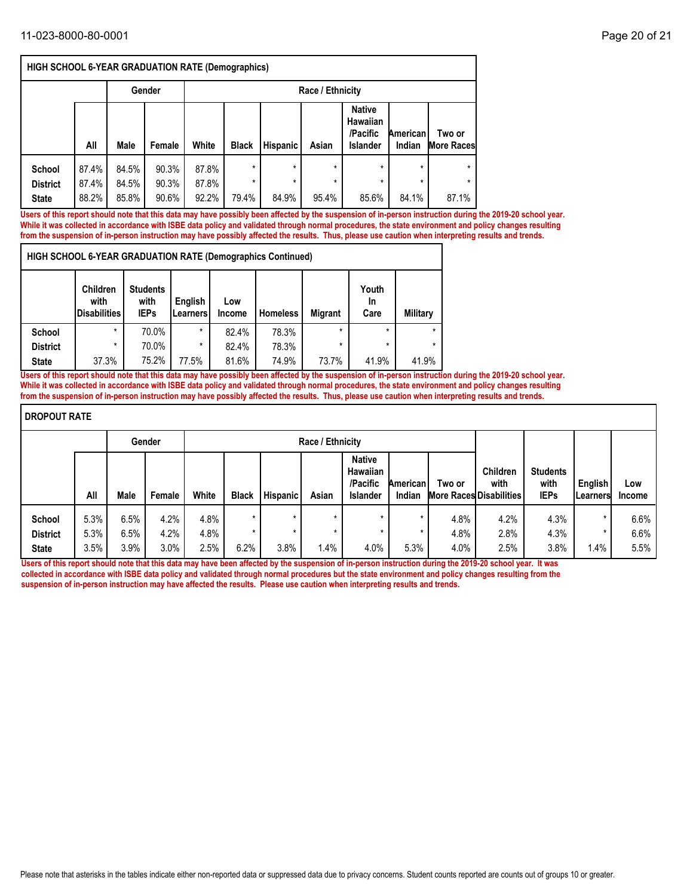| <b>HIGH SCHOOL 6-YEAR GRADUATION RATE (Demographics)</b> |       |       |        |                  |              |          |         |                                                          |                    |                             |
|----------------------------------------------------------|-------|-------|--------|------------------|--------------|----------|---------|----------------------------------------------------------|--------------------|-----------------------------|
| Gender                                                   |       |       |        | Race / Ethnicity |              |          |         |                                                          |                    |                             |
|                                                          | All   | Male  | Female | White            | <b>Black</b> | Hispanic | Asian   | <b>Native</b><br>Hawaiian<br>/Pacific<br><b>Islander</b> | American<br>Indian | Two or<br><b>More Races</b> |
| School                                                   | 87.4% | 84.5% | 90.3%  | 87.8%            |              | $\star$  | $\star$ | $\star$                                                  | $\star$            | $\star$                     |
| <b>District</b>                                          | 87.4% | 84.5% | 90.3%  | 87.8%            | $\star$      | $\star$  | *       | $\star$                                                  | $\star$            |                             |
| <b>State</b>                                             | 88.2% | 85.8% | 90.6%  | 92.2%            | 79.4%        | 84.9%    | 95.4%   | 85.6%                                                    | 84.1%              | 87.1%                       |

**Users of this report should note that this data may have possibly been affected by the suspension of in-person instruction during the 2019-20 school year. While it was collected in accordance with ISBE data policy and validated through normal procedures, the state environment and policy changes resulting from the suspension of in-person instruction may have possibly affected the results. Thus, please use caution when interpreting results and trends.**

| HIGH SCHOOL 6-YEAR GRADUATION RATE (Demographics Continued) |                                                |                                        |                            |                      |                 |                |                     |          |  |
|-------------------------------------------------------------|------------------------------------------------|----------------------------------------|----------------------------|----------------------|-----------------|----------------|---------------------|----------|--|
|                                                             | <b>Children</b><br>with<br><b>Disabilities</b> | <b>Students</b><br>with<br><b>IEPs</b> | English<br><b>Learners</b> | Low<br><b>Income</b> | <b>Homeless</b> | <b>Migrant</b> | Youth<br>In<br>Care | Military |  |
|                                                             | $\star$                                        |                                        |                            |                      |                 |                |                     |          |  |
| School                                                      |                                                | 70.0%                                  | $\star$                    | 82.4%                | 78.3%           | $\star$        |                     |          |  |
| <b>District</b>                                             | $\star$                                        | 70.0%                                  | $\star$                    | 82.4%                | 78.3%           | $\star$        |                     |          |  |

**Users of this report should note that this data may have possibly been affected by the suspension of in-person instruction during the 2019-20 school year. While it was collected in accordance with ISBE data policy and validated through normal procedures, the state environment and policy changes resulting from the suspension of in-person instruction may have possibly affected the results. Thus, please use caution when interpreting results and trends.**

| <b>DROPOUT RATE</b> |      |      |        |                  |              |                 |         |                                                                 |                    |        |                                                                                                     |      |                      |                      |
|---------------------|------|------|--------|------------------|--------------|-----------------|---------|-----------------------------------------------------------------|--------------------|--------|-----------------------------------------------------------------------------------------------------|------|----------------------|----------------------|
|                     |      |      | Gender | Race / Ethnicity |              |                 |         |                                                                 |                    |        |                                                                                                     |      |                      |                      |
|                     | All  | Male | Female | White            | <b>Black</b> | <b>Hispanic</b> | Asian   | <b>Native</b><br><b>Hawaiian</b><br>/Pacific<br><b>Islander</b> | American<br>Indian | Two or | <b>Children</b><br><b>Students</b><br>with<br>with<br><b>IEPs</b><br><b>More Races Disabilities</b> |      | English<br>Learnersl | Low<br><b>Income</b> |
| School              | 5.3% | 6.5% | 4.2%   | 4.8%             |              | $\star$         | $\star$ |                                                                 |                    | 4.8%   | 4.2%                                                                                                | 4.3% |                      | $6.6\%$              |
| <b>District</b>     | 5.3% | 6.5% | 4.2%   | 4.8%             |              | $\star$         | $\star$ | *                                                               |                    | 4.8%   | 2.8%                                                                                                | 4.3% |                      | 6.6%                 |
| <b>State</b>        | 3.5% | 3.9% | 3.0%   | 2.5%             | 6.2%         | 3.8%            | 1.4%    | 4.0%                                                            | 5.3%               | 4.0%   | 2.5%                                                                                                | 3.8% | 1.4%                 | 5.5%                 |

**Users of this report should note that this data may have been affected by the suspension of in-person instruction during the 2019-20 school year. It was collected in accordance with ISBE data policy and validated through normal procedures but the state environment and policy changes resulting from the suspension of in-person instruction may have affected the results. Please use caution when interpreting results and trends.**